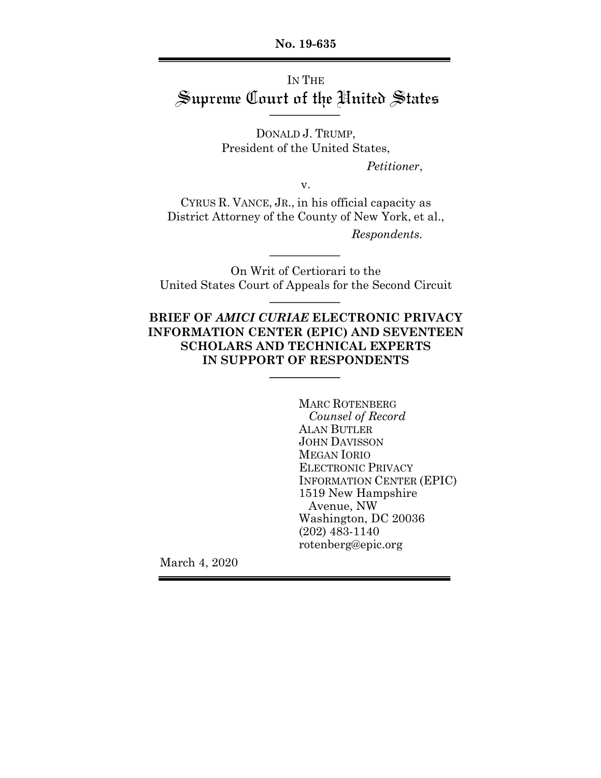**No. 19-635**

# IN THE Supreme Court of the United States

DONALD J. TRUMP, President of the United States,

*Petitioner*,

v.

CYRUS R. VANCE, JR., in his official capacity as District Attorney of the County of New York, et al., *Respondents.*

On Writ of Certiorari to the United States Court of Appeals for the Second Circuit

## **BRIEF OF** *AMICI CURIAE* **ELECTRONIC PRIVACY INFORMATION CENTER (EPIC) AND SEVENTEEN SCHOLARS AND TECHNICAL EXPERTS IN SUPPORT OF RESPONDENTS**

MARC ROTENBERG *Counsel of Record* ALAN BUTLER JOHN DAVISSON MEGAN IORIO ELECTRONIC PRIVACY INFORMATION CENTER (EPIC) 1519 New Hampshire Avenue, NW Washington, DC 20036 (202) 483-1140 rotenberg@epic.org

March 4, 2020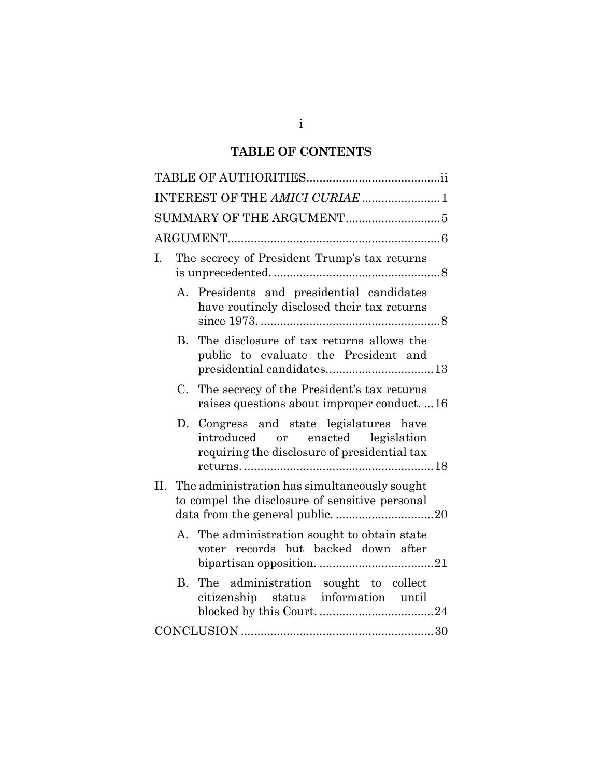# **TABLE OF CONTENTS**

| INTEREST OF THE AMICI CURIAE  1                                                                                              |
|------------------------------------------------------------------------------------------------------------------------------|
|                                                                                                                              |
|                                                                                                                              |
| The secrecy of President Trump's tax returns<br>L.                                                                           |
| Presidents and presidential candidates<br>А.<br>have routinely disclosed their tax returns                                   |
| The disclosure of tax returns allows the<br>В.<br>public to evaluate the President and                                       |
| $C_{\cdot}$<br>The secrecy of the President's tax returns<br>raises questions about improper conduct16                       |
| D. Congress and state legislatures have<br>introduced or enacted legislation<br>requiring the disclosure of presidential tax |
| II. The administration has simultaneously sought<br>to compel the disclosure of sensitive personal                           |
| A. The administration sought to obtain state<br>voter records but backed down after                                          |
| The administration sought to collect<br>B <sub>1</sub><br>citizenship status information until                               |
|                                                                                                                              |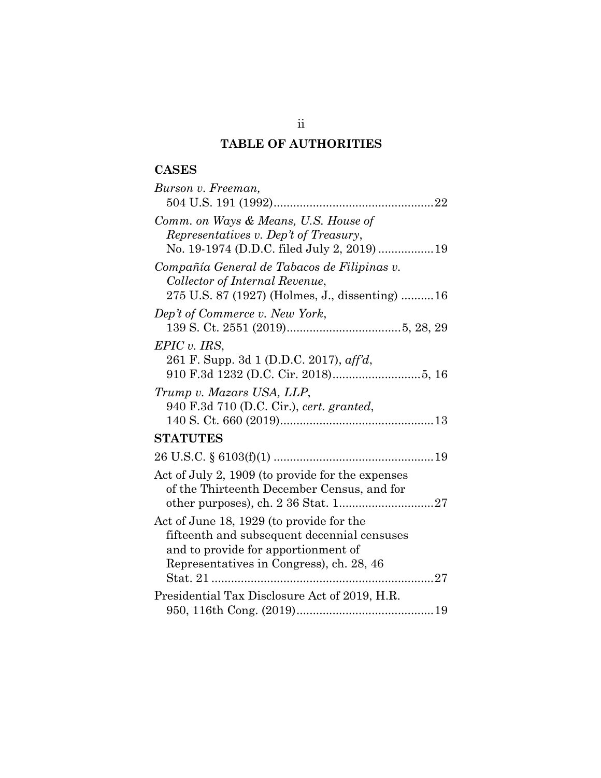# **TABLE OF AUTHORITIES**

# **CASES**

| Burson v. Freeman,                                                                                                                                                         |
|----------------------------------------------------------------------------------------------------------------------------------------------------------------------------|
|                                                                                                                                                                            |
| Comm. on Ways & Means, U.S. House of<br>Representatives v. Dep't of Treasury,<br>No. 19-1974 (D.D.C. filed July 2, 2019)  19                                               |
| Compañía General de Tabacos de Filipinas v.<br>Collector of Internal Revenue,<br>275 U.S. 87 (1927) (Holmes, J., dissenting)  16                                           |
| Dep't of Commerce v. New York,                                                                                                                                             |
| EPIC v. IRS,<br>261 F. Supp. 3d 1 (D.D.C. 2017), aff'd,                                                                                                                    |
| Trump v. Mazars USA, LLP,<br>940 F.3d 710 (D.C. Cir.), cert. granted,                                                                                                      |
| <b>STATUTES</b>                                                                                                                                                            |
|                                                                                                                                                                            |
| Act of July 2, 1909 (to provide for the expenses<br>of the Thirteenth December Census, and for                                                                             |
| Act of June 18, 1929 (to provide for the<br>fifteenth and subsequent decennial censuses<br>and to provide for apportionment of<br>Representatives in Congress), ch. 28, 46 |
| Presidential Tax Disclosure Act of 2019, H.R.                                                                                                                              |
|                                                                                                                                                                            |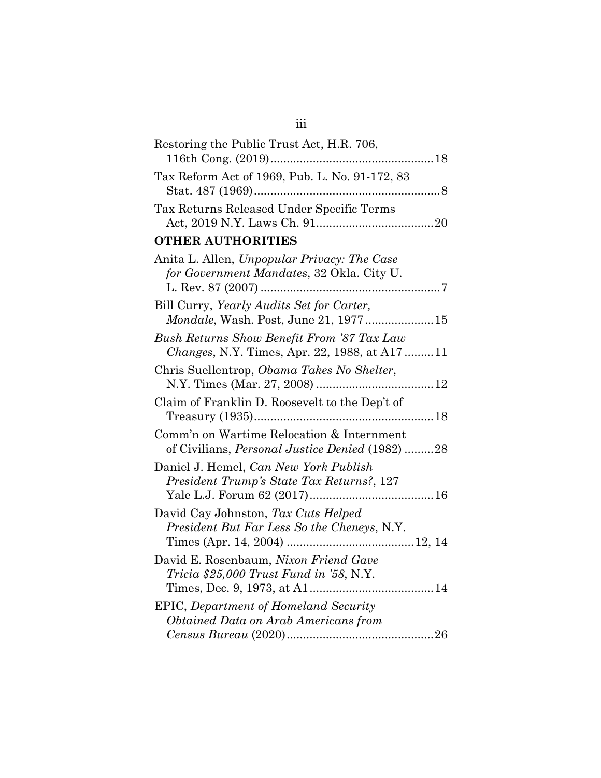| Restoring the Public Trust Act, H.R. 706,                                                         |  |
|---------------------------------------------------------------------------------------------------|--|
| Tax Reform Act of 1969, Pub. L. No. 91-172, 83                                                    |  |
| Tax Returns Released Under Specific Terms                                                         |  |
| <b>OTHER AUTHORITIES</b>                                                                          |  |
| Anita L. Allen, Unpopular Privacy: The Case<br>for Government Mandates, 32 Okla. City U.          |  |
| Bill Curry, Yearly Audits Set for Carter,                                                         |  |
| <i>Mondale</i> , Wash. Post, June 21, 197715                                                      |  |
| Bush Returns Show Benefit From '87 Tax Law<br><i>Changes, N.Y. Times, Apr. 22, 1988, at A1711</i> |  |
| Chris Suellentrop, Obama Takes No Shelter,                                                        |  |
| Claim of Franklin D. Roosevelt to the Dep't of                                                    |  |
| Comm'n on Wartime Relocation & Internment<br>of Civilians, Personal Justice Denied (1982) 28      |  |
| Daniel J. Hemel, Can New York Publish<br>President Trump's State Tax Returns?, 127                |  |
| David Cay Johnston, Tax Cuts Helped<br>President But Far Less So the Cheneys, N.Y.                |  |
| David E. Rosenbaum, Nixon Friend Gave<br>$Tricia$ \$25,000 Trust Fund in '58, N.Y.                |  |
| <b>EPIC</b> , Department of Homeland Security<br>Obtained Data on Arab Americans from             |  |
|                                                                                                   |  |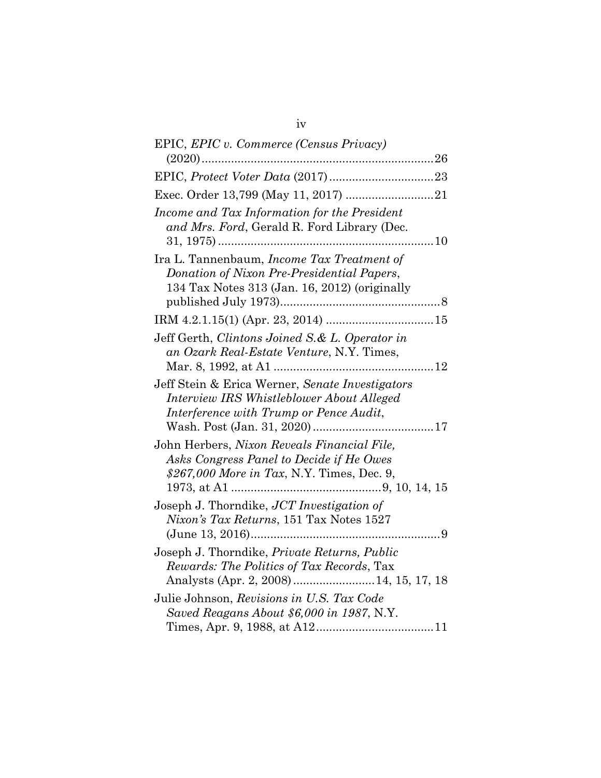| EPIC, EPIC v. Commerce (Census Privacy)                                                                                                            |
|----------------------------------------------------------------------------------------------------------------------------------------------------|
|                                                                                                                                                    |
|                                                                                                                                                    |
|                                                                                                                                                    |
| Income and Tax Information for the President<br>and Mrs. Ford, Gerald R. Ford Library (Dec.                                                        |
| Ira L. Tannenbaum, Income Tax Treatment of<br>Donation of Nixon Pre-Presidential Papers,<br>134 Tax Notes 313 (Jan. 16, 2012) (originally          |
|                                                                                                                                                    |
| Jeff Gerth, Clintons Joined S.& L. Operator in<br>an Ozark Real-Estate Venture, N.Y. Times,                                                        |
| Jeff Stein & Erica Werner, Senate Investigators<br>Interview IRS Whistleblower About Alleged<br>Interference with Trump or Pence Audit,            |
| John Herbers, Nixon Reveals Financial File,<br>Asks Congress Panel to Decide if He Owes<br>\$267,000 More in Tax, N.Y. Times, Dec. 9,              |
| Joseph J. Thorndike, JCT Investigation of<br>Nixon's Tax Returns, 151 Tax Notes 1527                                                               |
| Joseph J. Thorndike, <i>Private Returns</i> , <i>Public</i><br>Rewards: The Politics of Tax Records, Tax<br>Analysts (Apr. 2, 2008) 14, 15, 17, 18 |
| Julie Johnson, Revisions in U.S. Tax Code<br>Saved Reagans About \$6,000 in 1987, N.Y.                                                             |

iv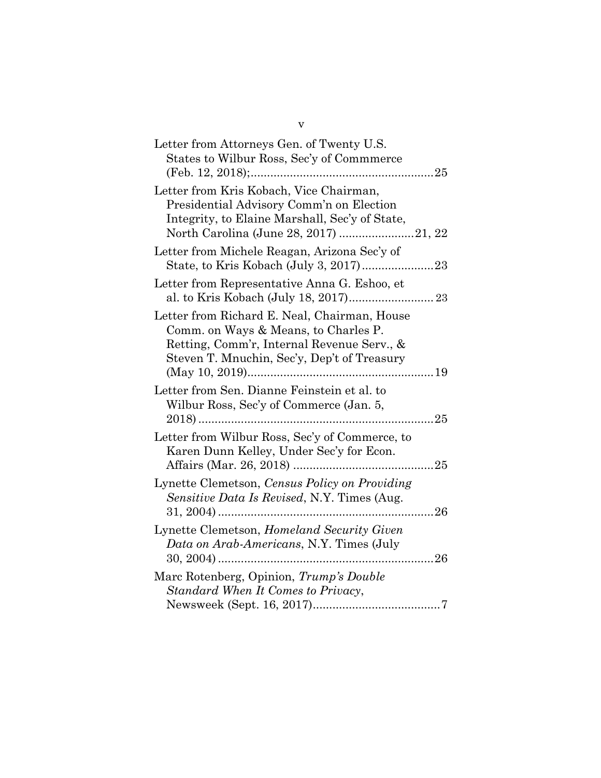| Letter from Attorneys Gen. of Twenty U.S.<br>States to Wilbur Ross, Sec'y of Commmerce                                                                                                              |             |
|-----------------------------------------------------------------------------------------------------------------------------------------------------------------------------------------------------|-------------|
| Letter from Kris Kobach, Vice Chairman,<br>Presidential Advisory Comm'n on Election<br>Integrity, to Elaine Marshall, Sec'y of State,                                                               |             |
| Letter from Michele Reagan, Arizona Sec'y of                                                                                                                                                        |             |
| Letter from Representative Anna G. Eshoo, et                                                                                                                                                        |             |
| Letter from Richard E. Neal, Chairman, House<br>Comm. on Ways & Means, to Charles P.<br>Retting, Comm'r, Internal Revenue Serv., &<br>Steven T. Mnuchin, Sec'y, Dep't of Treasury<br>(May 10, 2019) |             |
| Letter from Sen. Dianne Feinstein et al. to<br>Wilbur Ross, Sec'y of Commerce (Jan. 5,                                                                                                              | $\ldots$ 25 |
| Letter from Wilbur Ross, Sec'y of Commerce, to<br>Karen Dunn Kelley, Under Sec'y for Econ.                                                                                                          |             |
| Lynette Clemetson, Census Policy on Providing<br>Sensitive Data Is Revised, N.Y. Times (Aug.                                                                                                        |             |
| Lynette Clemetson, Homeland Security Given<br>Data on Arab-Americans, N.Y. Times (July                                                                                                              |             |
| Marc Rotenberg, Opinion, Trump's Double<br>Standard When It Comes to Privacy,                                                                                                                       |             |
|                                                                                                                                                                                                     |             |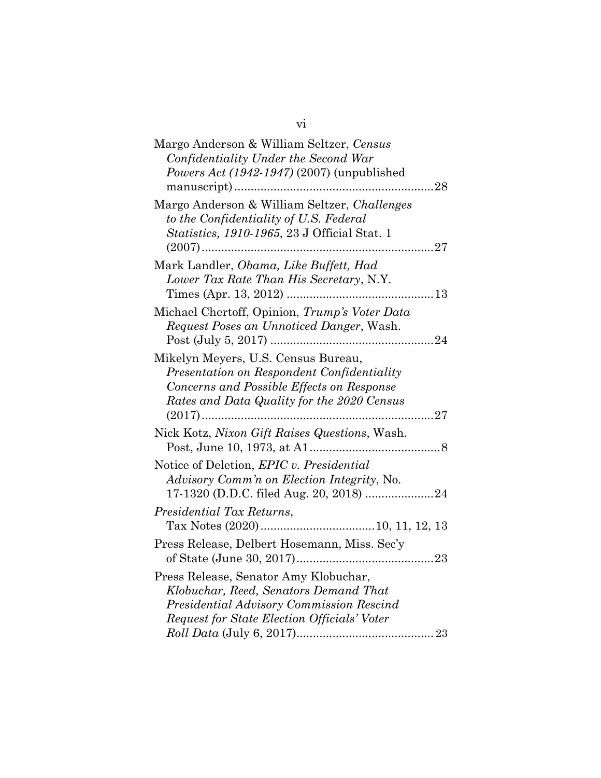| Margo Anderson & William Seltzer, Census<br>Confidentiality Under the Second War<br>Powers Act (1942-1947) (2007) (unpublished                                               |
|------------------------------------------------------------------------------------------------------------------------------------------------------------------------------|
| Margo Anderson & William Seltzer, Challenges<br>to the Confidentiality of U.S. Federal<br>Statistics, 1910-1965, 23 J Official Stat. 1<br>.27<br>$(2007)$                    |
| Mark Landler, Obama, Like Buffett, Had<br>Lower Tax Rate Than His Secretary, N.Y.                                                                                            |
| Michael Chertoff, Opinion, Trump's Voter Data<br>Request Poses an Unnoticed Danger, Wash.                                                                                    |
| Mikelyn Meyers, U.S. Census Bureau,<br>Presentation on Respondent Confidentiality<br>Concerns and Possible Effects on Response<br>Rates and Data Quality for the 2020 Census |
| Nick Kotz, Nixon Gift Raises Questions, Wash.                                                                                                                                |
| Notice of Deletion, EPIC v. Presidential<br><i>Advisory Comm'n on Election Integrity, No.</i>                                                                                |
| Presidential Tax Returns,                                                                                                                                                    |
| Press Release, Delbert Hosemann, Miss. Sec'y                                                                                                                                 |
| Press Release, Senator Amy Klobuchar,<br>Klobuchar, Reed, Senators Demand That<br>Presidential Advisory Commission Rescind<br>Request for State Election Officials' Voter    |

vi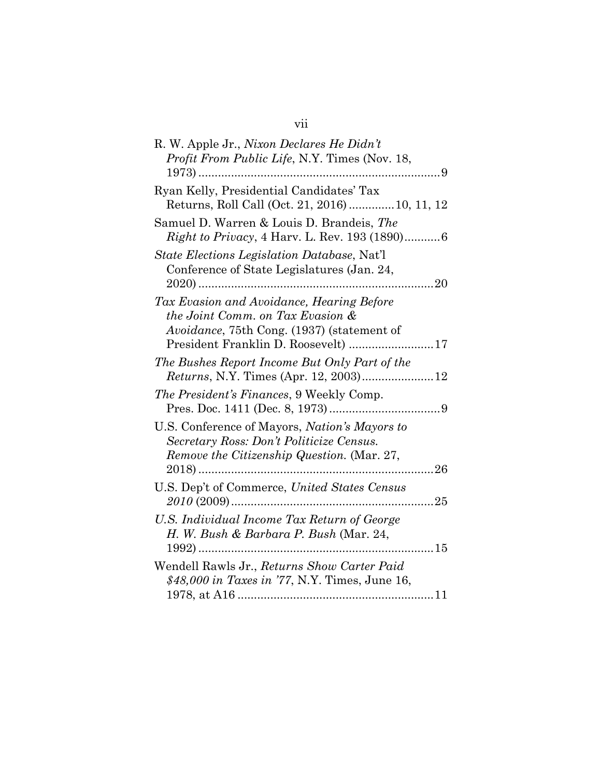| R. W. Apple Jr., Nixon Declares He Didn't<br>Profit From Public Life, N.Y. Times (Nov. 18,                                                     |  |
|------------------------------------------------------------------------------------------------------------------------------------------------|--|
| Ryan Kelly, Presidential Candidates' Tax<br>Returns, Roll Call (Oct. 21, 2016)  10, 11, 12                                                     |  |
| Samuel D. Warren & Louis D. Brandeis, The                                                                                                      |  |
| State Elections Legislation Database, Nat'l<br>Conference of State Legislatures (Jan. 24,<br>20                                                |  |
| Tax Evasion and Avoidance, Hearing Before<br>the Joint Comm. on Tax Evasion &<br><i>Avoidance</i> , 75th Cong. (1937) (statement of            |  |
| President Franklin D. Roosevelt) 17                                                                                                            |  |
| The Bushes Report Income But Only Part of the                                                                                                  |  |
| The President's Finances, 9 Weekly Comp.                                                                                                       |  |
| U.S. Conference of Mayors, <i>Nation's Mayors to</i><br>Secretary Ross: Don't Politicize Census.<br>Remove the Citizenship Question. (Mar. 27, |  |
| U.S. Dep't of Commerce, United States Census                                                                                                   |  |
| U.S. Individual Income Tax Return of George<br>H. W. Bush & Barbara P. Bush (Mar. 24,                                                          |  |
| Wendell Rawls Jr., Returns Show Carter Paid<br>\$48,000 in Taxes in '77, N.Y. Times, June 16,                                                  |  |
|                                                                                                                                                |  |

# vii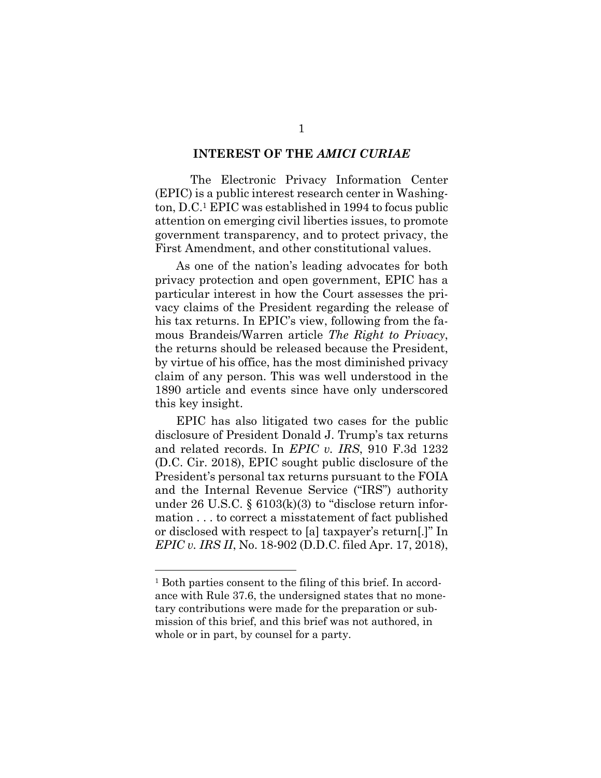#### **INTEREST OF THE** *AMICI CURIAE*

The Electronic Privacy Information Center (EPIC) is a public interest research center in Washington, D.C.1 EPIC was established in 1994 to focus public attention on emerging civil liberties issues, to promote government transparency, and to protect privacy, the First Amendment, and other constitutional values.

As one of the nation's leading advocates for both privacy protection and open government, EPIC has a particular interest in how the Court assesses the privacy claims of the President regarding the release of his tax returns. In EPIC's view, following from the famous Brandeis/Warren article *The Right to Privacy*, the returns should be released because the President, by virtue of his office, has the most diminished privacy claim of any person. This was well understood in the 1890 article and events since have only underscored this key insight.

EPIC has also litigated two cases for the public disclosure of President Donald J. Trump's tax returns and related records. In *EPIC v. IRS*, 910 F.3d 1232 (D.C. Cir. 2018), EPIC sought public disclosure of the President's personal tax returns pursuant to the FOIA and the Internal Revenue Service ("IRS") authority under 26 U.S.C.  $\S$  6103(k)(3) to "disclose return information . . . to correct a misstatement of fact published or disclosed with respect to [a] taxpayer's return[.]" In *EPIC v. IRS II*, No. 18-902 (D.D.C. filed Apr. 17, 2018),

<sup>1</sup> Both parties consent to the filing of this brief. In accordance with Rule 37.6, the undersigned states that no monetary contributions were made for the preparation or submission of this brief, and this brief was not authored, in whole or in part, by counsel for a party.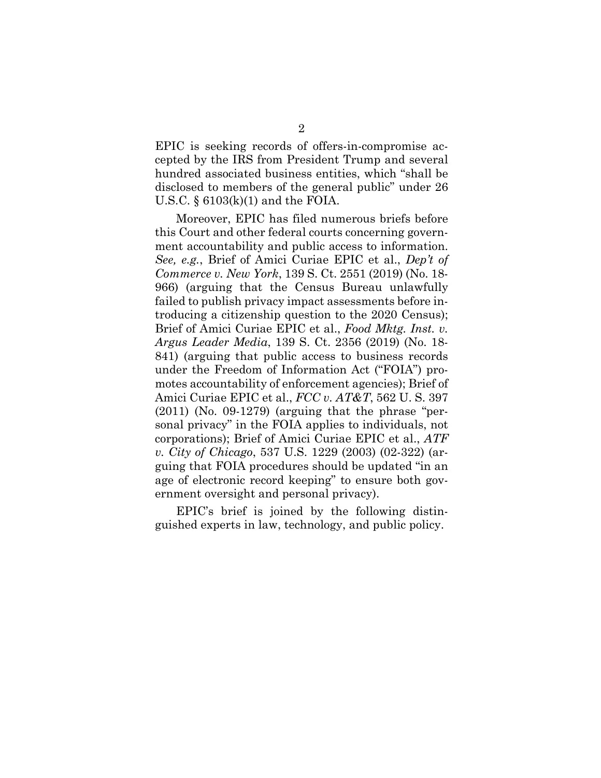EPIC is seeking records of offers-in-compromise accepted by the IRS from President Trump and several hundred associated business entities, which "shall be disclosed to members of the general public" under 26 U.S.C.  $\S$  6103(k)(1) and the FOIA.

Moreover, EPIC has filed numerous briefs before this Court and other federal courts concerning government accountability and public access to information. *See, e.g.*, Brief of Amici Curiae EPIC et al., *Dep't of Commerce v. New York*, 139 S. Ct. 2551 (2019) (No. 18- 966) (arguing that the Census Bureau unlawfully failed to publish privacy impact assessments before introducing a citizenship question to the 2020 Census); Brief of Amici Curiae EPIC et al., *Food Mktg. Inst. v. Argus Leader Media*, 139 S. Ct. 2356 (2019) (No. 18- 841) (arguing that public access to business records under the Freedom of Information Act ("FOIA") promotes accountability of enforcement agencies); Brief of Amici Curiae EPIC et al., *FCC v. AT&T*, 562 U. S. 397  $(2011)$  (No. 09-1279) (arguing that the phrase "personal privacy" in the FOIA applies to individuals, not corporations); Brief of Amici Curiae EPIC et al., *ATF v. City of Chicago*, 537 U.S. 1229 (2003) (02-322) (arguing that FOIA procedures should be updated "in an age of electronic record keeping" to ensure both government oversight and personal privacy).

EPIC's brief is joined by the following distinguished experts in law, technology, and public policy.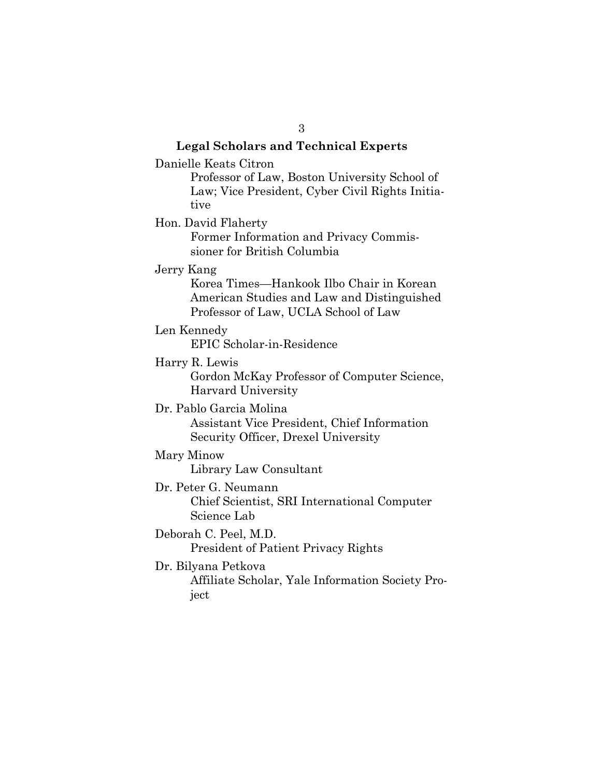**Legal Scholars and Technical Experts** Danielle Keats Citron Professor of Law, Boston University School of Law; Vice President, Cyber Civil Rights Initiative Hon. David Flaherty Former Information and Privacy Commissioner for British Columbia Jerry Kang Korea Times—Hankook Ilbo Chair in Korean American Studies and Law and Distinguished Professor of Law, UCLA School of Law Len Kennedy EPIC Scholar-in-Residence Harry R. Lewis Gordon McKay Professor of Computer Science, Harvard University Dr. Pablo Garcia Molina Assistant Vice President, Chief Information Security Officer, Drexel University Mary Minow Library Law Consultant Dr. Peter G. Neumann Chief Scientist, SRI International Computer Science Lab Deborah C. Peel, M.D. President of Patient Privacy Rights Dr. Bilyana Petkova Affiliate Scholar, Yale Information Society Project

3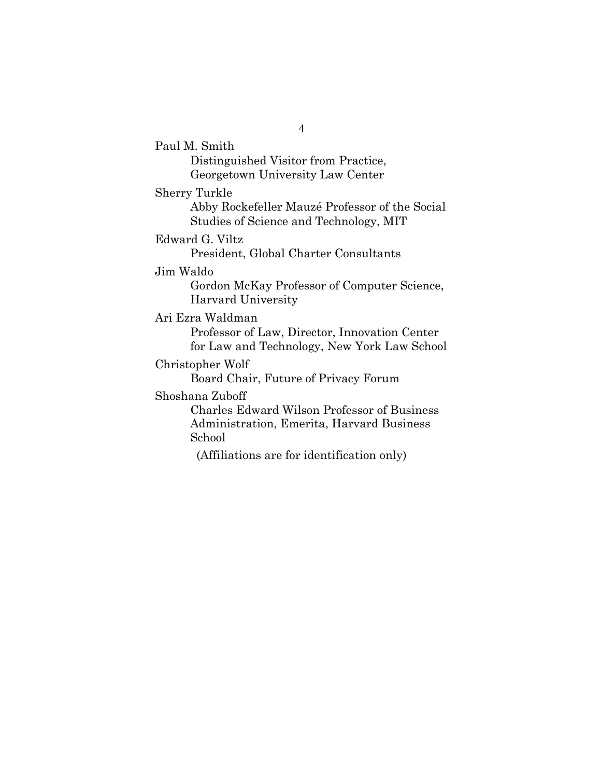Paul M. Smith Distinguished Visitor from Practice, Georgetown University Law Center Sherry Turkle Abby Rockefeller Mauzé Professor of the Social Studies of Science and Technology, MIT Edward G. Viltz President, Global Charter Consultants Jim Waldo Gordon McKay Professor of Computer Science, Harvard University Ari Ezra Waldman Professor of Law, Director, Innovation Center for Law and Technology, New York Law School Christopher Wolf Board Chair, Future of Privacy Forum Shoshana Zuboff Charles Edward Wilson Professor of Business

Administration, Emerita, Harvard Business School

(Affiliations are for identification only)

4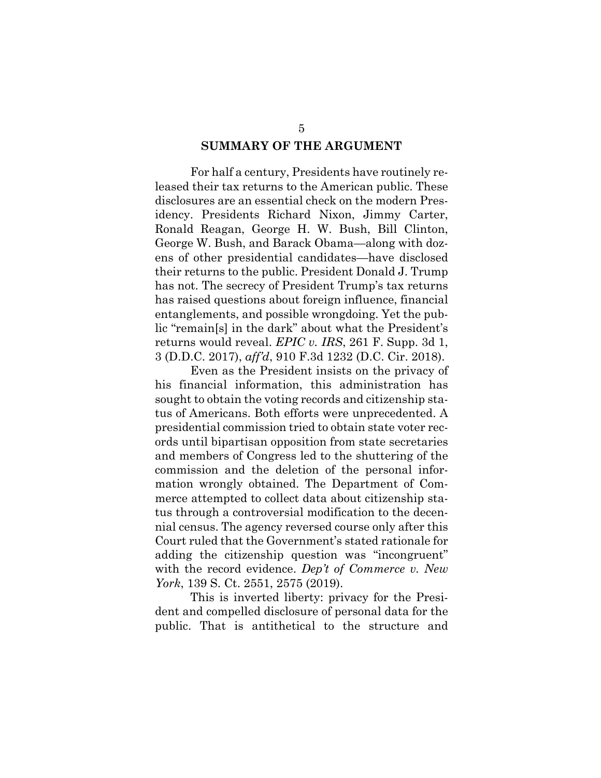#### **SUMMARY OF THE ARGUMENT**

For half a century, Presidents have routinely released their tax returns to the American public. These disclosures are an essential check on the modern Presidency. Presidents Richard Nixon, Jimmy Carter, Ronald Reagan, George H. W. Bush, Bill Clinton, George W. Bush, and Barack Obama—along with dozens of other presidential candidates—have disclosed their returns to the public. President Donald J. Trump has not. The secrecy of President Trump's tax returns has raised questions about foreign influence, financial entanglements, and possible wrongdoing. Yet the public "remain[s] in the dark" about what the President's returns would reveal. *EPIC v. IRS*, 261 F. Supp. 3d 1, 3 (D.D.C. 2017), *aff'd*, 910 F.3d 1232 (D.C. Cir. 2018).

Even as the President insists on the privacy of his financial information, this administration has sought to obtain the voting records and citizenship status of Americans. Both efforts were unprecedented. A presidential commission tried to obtain state voter records until bipartisan opposition from state secretaries and members of Congress led to the shuttering of the commission and the deletion of the personal information wrongly obtained. The Department of Commerce attempted to collect data about citizenship status through a controversial modification to the decennial census. The agency reversed course only after this Court ruled that the Government's stated rationale for adding the citizenship question was "incongruent" with the record evidence. *Dep't of Commerce v. New York*, 139 S. Ct. 2551, 2575 (2019).

This is inverted liberty: privacy for the President and compelled disclosure of personal data for the public. That is antithetical to the structure and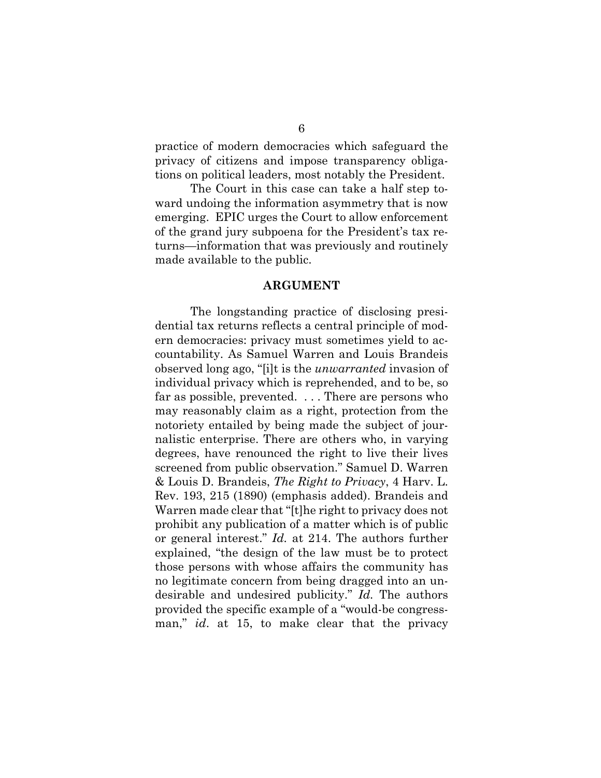practice of modern democracies which safeguard the privacy of citizens and impose transparency obligations on political leaders, most notably the President.

The Court in this case can take a half step toward undoing the information asymmetry that is now emerging. EPIC urges the Court to allow enforcement of the grand jury subpoena for the President's tax returns—information that was previously and routinely made available to the public.

#### **ARGUMENT**

The longstanding practice of disclosing presidential tax returns reflects a central principle of modern democracies: privacy must sometimes yield to accountability. As Samuel Warren and Louis Brandeis observed long ago, "[i]t is the *unwarranted* invasion of individual privacy which is reprehended, and to be, so far as possible, prevented. . . . There are persons who may reasonably claim as a right, protection from the notoriety entailed by being made the subject of journalistic enterprise. There are others who, in varying degrees, have renounced the right to live their lives screened from public observation." Samuel D. Warren & Louis D. Brandeis, *The Right to Privacy*, 4 Harv. L. Rev. 193, 215 (1890) (emphasis added). Brandeis and Warren made clear that "[t]he right to privacy does not prohibit any publication of a matter which is of public or general interest." *Id.* at 214. The authors further explained, "the design of the law must be to protect those persons with whose affairs the community has no legitimate concern from being dragged into an undesirable and undesired publicity." *Id.* The authors provided the specific example of a "would-be congressman," *id*. at 15, to make clear that the privacy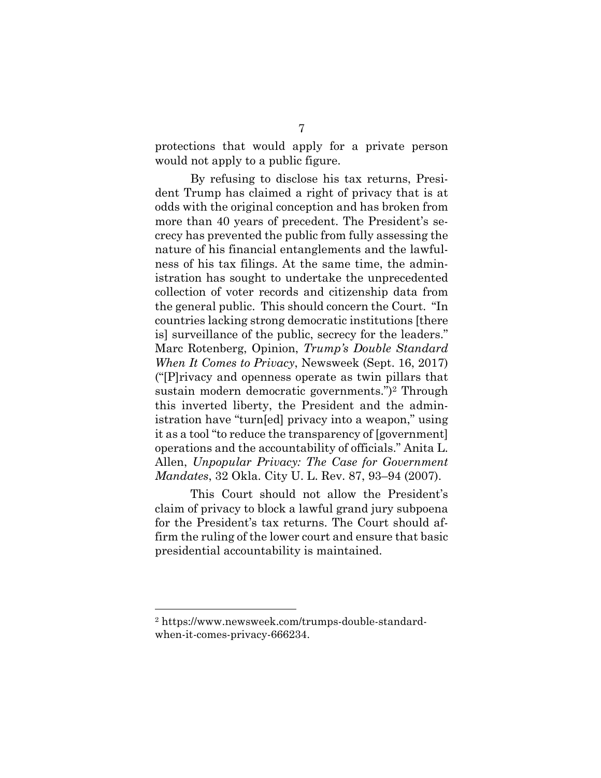protections that would apply for a private person would not apply to a public figure.

By refusing to disclose his tax returns, President Trump has claimed a right of privacy that is at odds with the original conception and has broken from more than 40 years of precedent. The President's secrecy has prevented the public from fully assessing the nature of his financial entanglements and the lawfulness of his tax filings. At the same time, the administration has sought to undertake the unprecedented collection of voter records and citizenship data from the general public. This should concern the Court. "In countries lacking strong democratic institutions [there is] surveillance of the public, secrecy for the leaders." Marc Rotenberg, Opinion, *Trump's Double Standard When It Comes to Privacy*, Newsweek (Sept. 16, 2017) ("[P]rivacy and openness operate as twin pillars that sustain modern democratic governments.")<sup>2</sup> Through this inverted liberty, the President and the administration have "turn[ed] privacy into a weapon," using it as a tool "to reduce the transparency of [government] operations and the accountability of officials." Anita L. Allen, *Unpopular Privacy: The Case for Government Mandates*, 32 Okla. City U. L. Rev. 87, 93–94 (2007).

This Court should not allow the President's claim of privacy to block a lawful grand jury subpoena for the President's tax returns. The Court should affirm the ruling of the lower court and ensure that basic presidential accountability is maintained.

<sup>2</sup> https://www.newsweek.com/trumps-double-standardwhen-it-comes-privacy-666234.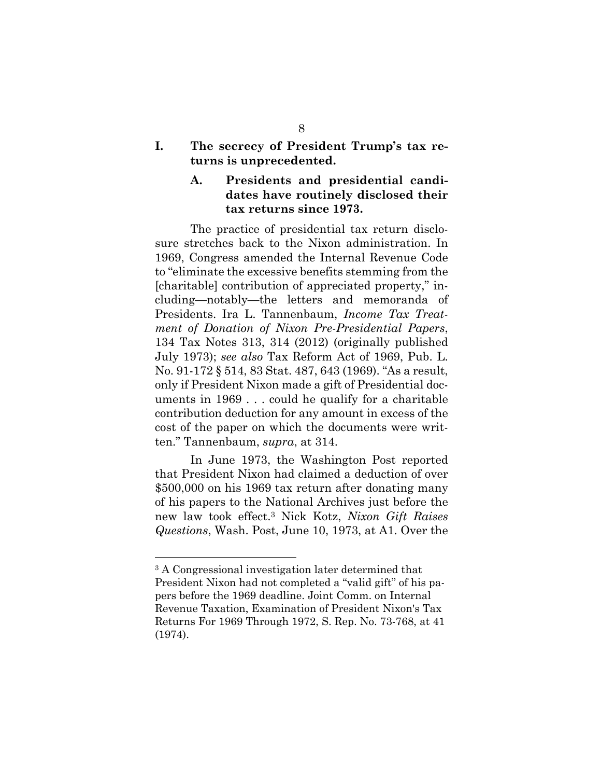**I. The secrecy of President Trump's tax returns is unprecedented.**

#### **A. Presidents and presidential candidates have routinely disclosed their tax returns since 1973.**

The practice of presidential tax return disclosure stretches back to the Nixon administration. In 1969, Congress amended the Internal Revenue Code to "eliminate the excessive benefits stemming from the [charitable] contribution of appreciated property," including—notably—the letters and memoranda of Presidents. Ira L. Tannenbaum, *Income Tax Treatment of Donation of Nixon Pre-Presidential Papers*, 134 Tax Notes 313, 314 (2012) (originally published July 1973); *see also* Tax Reform Act of 1969, Pub. L. No. 91-172 § 514, 83 Stat. 487, 643 (1969). "As a result, only if President Nixon made a gift of Presidential documents in 1969 . . . could he qualify for a charitable contribution deduction for any amount in excess of the cost of the paper on which the documents were written." Tannenbaum, *supra*, at 314.

In June 1973, the Washington Post reported that President Nixon had claimed a deduction of over \$500,000 on his 1969 tax return after donating many of his papers to the National Archives just before the new law took effect.<sup>3</sup> Nick Kotz, *Nixon Gift Raises Questions*, Wash. Post, June 10, 1973, at A1. Over the

<sup>3</sup> A Congressional investigation later determined that President Nixon had not completed a "valid gift" of his papers before the 1969 deadline. Joint Comm. on Internal Revenue Taxation, Examination of President Nixon's Tax Returns For 1969 Through 1972, S. Rep. No. 73-768, at 41 (1974).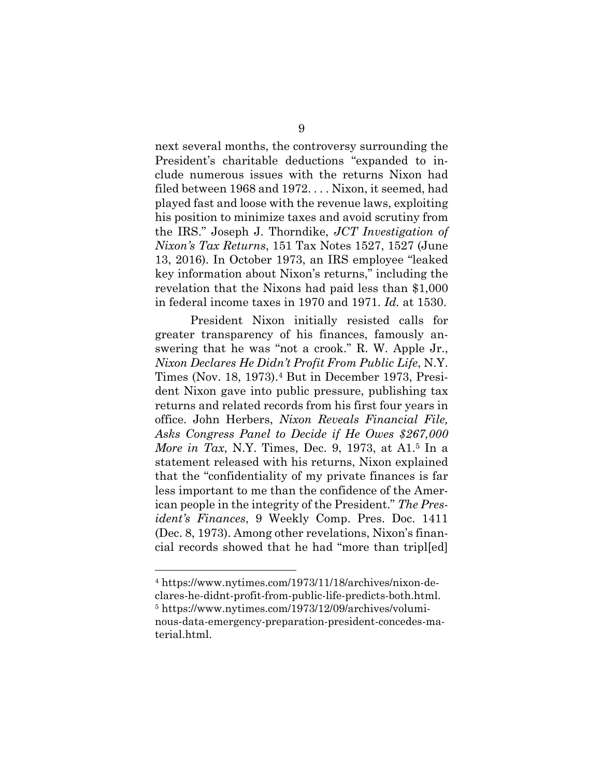next several months, the controversy surrounding the President's charitable deductions "expanded to include numerous issues with the returns Nixon had filed between 1968 and 1972. . . . Nixon, it seemed, had played fast and loose with the revenue laws, exploiting his position to minimize taxes and avoid scrutiny from the IRS." Joseph J. Thorndike, *JCT Investigation of Nixon's Tax Returns*, 151 Tax Notes 1527, 1527 (June 13, 2016). In October 1973, an IRS employee "leaked key information about Nixon's returns," including the revelation that the Nixons had paid less than \$1,000 in federal income taxes in 1970 and 1971. *Id.* at 1530.

President Nixon initially resisted calls for greater transparency of his finances, famously answering that he was "not a crook." R. W. Apple Jr., *Nixon Declares He Didn't Profit From Public Life*, N.Y. Times (Nov. 18, 1973).<sup>4</sup> But in December 1973, President Nixon gave into public pressure, publishing tax returns and related records from his first four years in office. John Herbers, *Nixon Reveals Financial File, Asks Congress Panel to Decide if He Owes \$267,000 More in Tax*, N.Y. Times, Dec. 9, 1973, at A1.<sup>5</sup> In a statement released with his returns, Nixon explained that the "confidentiality of my private finances is far less important to me than the confidence of the American people in the integrity of the President." *The President's Finances*, 9 Weekly Comp. Pres. Doc. 1411 (Dec. 8, 1973). Among other revelations, Nixon's financial records showed that he had "more than tripl[ed]

<sup>4</sup> https://www.nytimes.com/1973/11/18/archives/nixon-declares-he-didnt-profit-from-public-life-predicts-both.html. <sup>5</sup> https://www.nytimes.com/1973/12/09/archives/voluminous-data-emergency-preparation-president-concedes-material.html.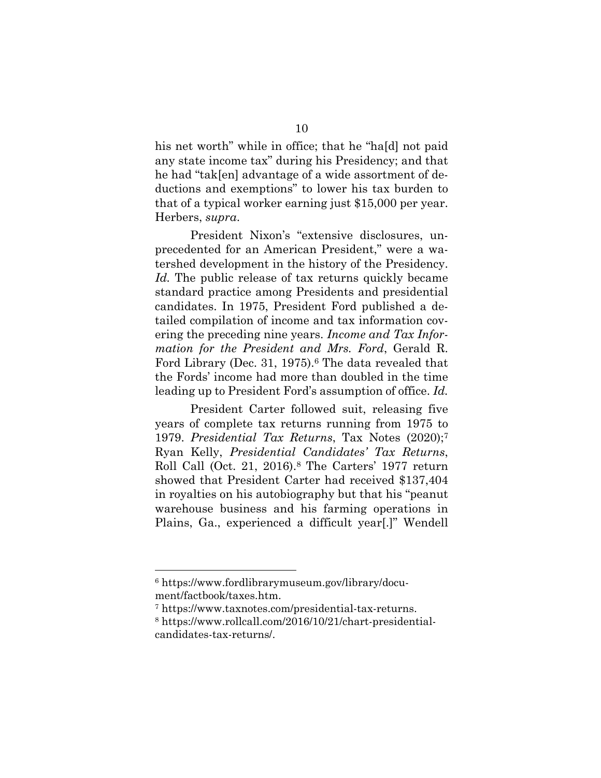his net worth" while in office; that he "hald not paid any state income tax" during his Presidency; and that he had "tak[en] advantage of a wide assortment of deductions and exemptions" to lower his tax burden to that of a typical worker earning just \$15,000 per year. Herbers, *supra*.

President Nixon's "extensive disclosures, unprecedented for an American President," were a watershed development in the history of the Presidency. *Id.* The public release of tax returns quickly became standard practice among Presidents and presidential candidates. In 1975, President Ford published a detailed compilation of income and tax information covering the preceding nine years. *Income and Tax Information for the President and Mrs. Ford*, Gerald R. Ford Library (Dec. 31, 1975).<sup>6</sup> The data revealed that the Fords' income had more than doubled in the time leading up to President Ford's assumption of office. *Id.*

President Carter followed suit, releasing five years of complete tax returns running from 1975 to 1979. *Presidential Tax Returns*, Tax Notes (2020);<sup>7</sup> Ryan Kelly, *Presidential Candidates' Tax Returns*, Roll Call (Oct. 21, 2016).<sup>8</sup> The Carters' 1977 return showed that President Carter had received \$137,404 in royalties on his autobiography but that his "peanut warehouse business and his farming operations in Plains, Ga., experienced a difficult year[.]" Wendell

<sup>6</sup> https://www.fordlibrarymuseum.gov/library/document/factbook/taxes.htm.

<sup>7</sup> https://www.taxnotes.com/presidential-tax-returns.

<sup>8</sup> https://www.rollcall.com/2016/10/21/chart-presidentialcandidates-tax-returns/.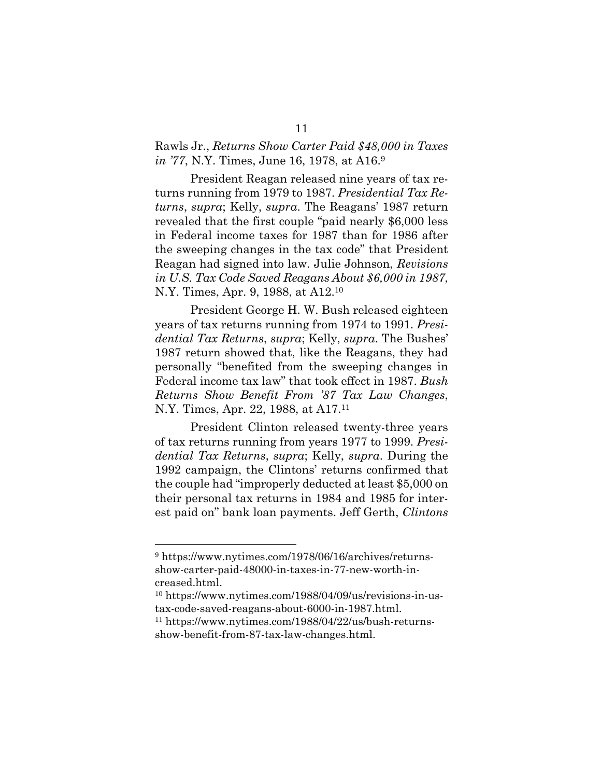#### Rawls Jr., *Returns Show Carter Paid \$48,000 in Taxes in '77*, N.Y. Times, June 16, 1978, at A16.<sup>9</sup>

President Reagan released nine years of tax returns running from 1979 to 1987. *Presidential Tax Returns*, *supra*; Kelly, *supra*. The Reagans' 1987 return revealed that the first couple "paid nearly \$6,000 less in Federal income taxes for 1987 than for 1986 after the sweeping changes in the tax code" that President Reagan had signed into law. Julie Johnson, *Revisions in U.S. Tax Code Saved Reagans About \$6,000 in 1987*, N.Y. Times, Apr. 9, 1988, at A12.<sup>10</sup>

President George H. W. Bush released eighteen years of tax returns running from 1974 to 1991. *Presidential Tax Returns*, *supra*; Kelly, *supra*. The Bushes' 1987 return showed that, like the Reagans, they had personally "benefited from the sweeping changes in Federal income tax law" that took effect in 1987. *Bush Returns Show Benefit From '87 Tax Law Changes*, N.Y. Times, Apr. 22, 1988, at A17.<sup>11</sup>

President Clinton released twenty-three years of tax returns running from years 1977 to 1999. *Presidential Tax Returns*, *supra*; Kelly, *supra*. During the 1992 campaign, the Clintons' returns confirmed that the couple had "improperly deducted at least \$5,000 on their personal tax returns in 1984 and 1985 for interest paid on" bank loan payments. Jeff Gerth, *Clintons* 

<sup>9</sup> https://www.nytimes.com/1978/06/16/archives/returnsshow-carter-paid-48000-in-taxes-in-77-new-worth-increased.html.

<sup>10</sup> https://www.nytimes.com/1988/04/09/us/revisions-in-ustax-code-saved-reagans-about-6000-in-1987.html.

<sup>11</sup> https://www.nytimes.com/1988/04/22/us/bush-returnsshow-benefit-from-87-tax-law-changes.html.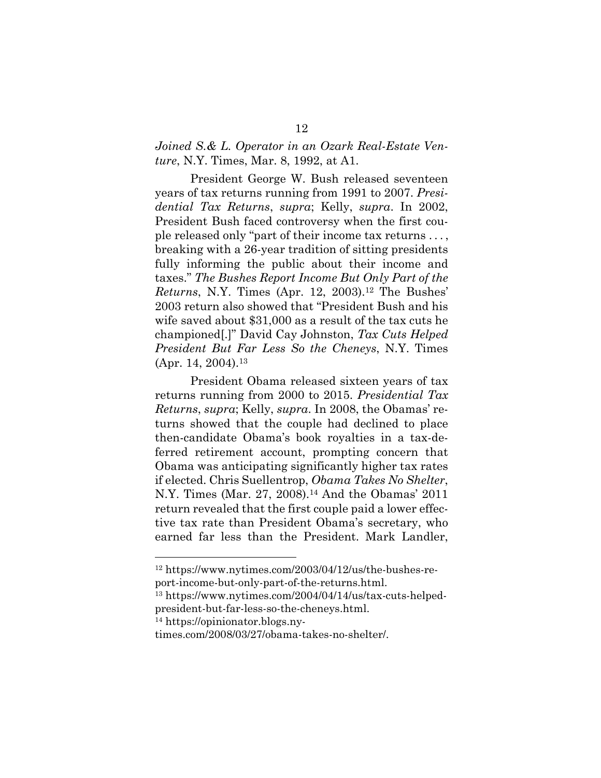#### *Joined S.& L. Operator in an Ozark Real-Estate Venture*, N.Y. Times, Mar. 8, 1992, at A1.

President George W. Bush released seventeen years of tax returns running from 1991 to 2007. *Presidential Tax Returns*, *supra*; Kelly, *supra*. In 2002, President Bush faced controversy when the first couple released only "part of their income tax returns . . . , breaking with a 26-year tradition of sitting presidents fully informing the public about their income and taxes." *The Bushes Report Income But Only Part of the Returns*, N.Y. Times (Apr. 12, 2003).<sup>12</sup> The Bushes' 2003 return also showed that "President Bush and his wife saved about \$31,000 as a result of the tax cuts he championed[.]" David Cay Johnston, *Tax Cuts Helped President But Far Less So the Cheneys*, N.Y. Times  $(Apr. 14, 2004).$ <sup>13</sup>

President Obama released sixteen years of tax returns running from 2000 to 2015. *Presidential Tax Returns*, *supra*; Kelly, *supra*. In 2008, the Obamas' returns showed that the couple had declined to place then-candidate Obama's book royalties in a tax-deferred retirement account, prompting concern that Obama was anticipating significantly higher tax rates if elected. Chris Suellentrop, *Obama Takes No Shelter*, N.Y. Times (Mar. 27, 2008).<sup>14</sup> And the Obamas' 2011 return revealed that the first couple paid a lower effective tax rate than President Obama's secretary, who earned far less than the President. Mark Landler,

<sup>12</sup> https://www.nytimes.com/2003/04/12/us/the-bushes-report-income-but-only-part-of-the-returns.html.

<sup>13</sup> https://www.nytimes.com/2004/04/14/us/tax-cuts-helpedpresident-but-far-less-so-the-cheneys.html.

<sup>14</sup> https://opinionator.blogs.ny-

times.com/2008/03/27/obama-takes-no-shelter/.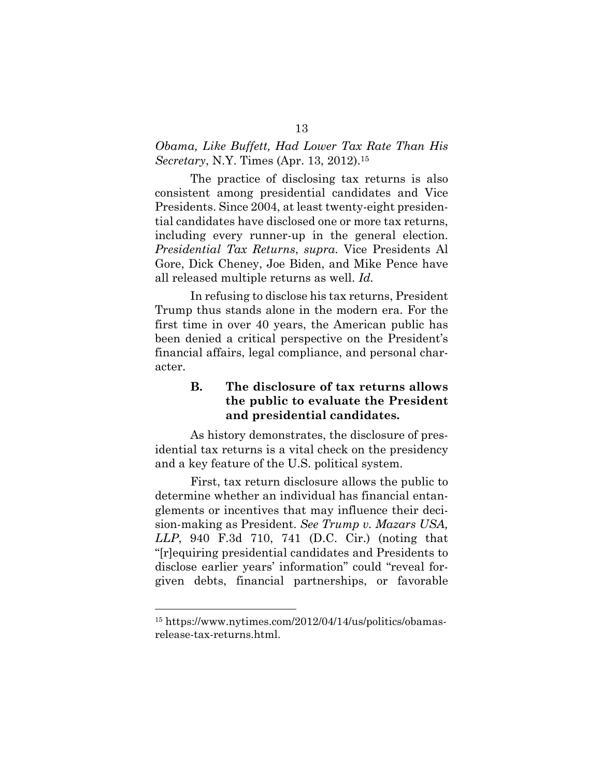#### *Obama, Like Buffett, Had Lower Tax Rate Than His Secretary*, N.Y. Times (Apr. 13, 2012).<sup>15</sup>

The practice of disclosing tax returns is also consistent among presidential candidates and Vice Presidents. Since 2004, at least twenty-eight presidential candidates have disclosed one or more tax returns, including every runner-up in the general election. *Presidential Tax Returns*, *supra.* Vice Presidents Al Gore, Dick Cheney, Joe Biden, and Mike Pence have all released multiple returns as well. *Id.*

In refusing to disclose his tax returns, President Trump thus stands alone in the modern era. For the first time in over 40 years, the American public has been denied a critical perspective on the President's financial affairs, legal compliance, and personal character.

### **B. The disclosure of tax returns allows the public to evaluate the President and presidential candidates.**

As history demonstrates, the disclosure of presidential tax returns is a vital check on the presidency and a key feature of the U.S. political system.

First, tax return disclosure allows the public to determine whether an individual has financial entanglements or incentives that may influence their decision-making as President. *See Trump v. Mazars USA, LLP*, 940 F.3d 710, 741 (D.C. Cir.) (noting that "[r]equiring presidential candidates and Presidents to disclose earlier years' information" could "reveal forgiven debts, financial partnerships, or favorable

<sup>15</sup> https://www.nytimes.com/2012/04/14/us/politics/obamasrelease-tax-returns.html.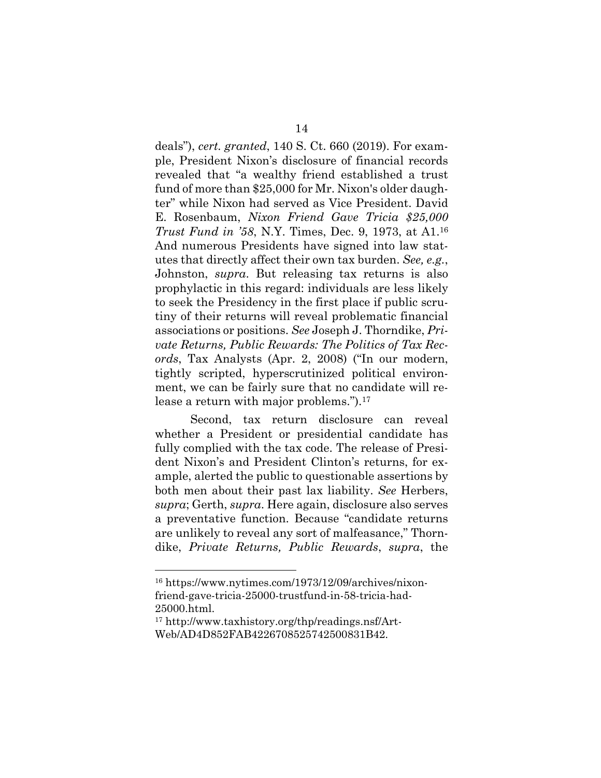deals"), *cert. granted*, 140 S. Ct. 660 (2019). For example, President Nixon's disclosure of financial records revealed that "a wealthy friend established a trust fund of more than \$25,000 for Mr. Nixon's older daughter" while Nixon had served as Vice President. David E. Rosenbaum, *Nixon Friend Gave Tricia \$25,000 Trust Fund in '58*, N.Y. Times, Dec. 9, 1973, at A1.<sup>16</sup> And numerous Presidents have signed into law statutes that directly affect their own tax burden. *See, e.g.*, Johnston, *supra*. But releasing tax returns is also prophylactic in this regard: individuals are less likely to seek the Presidency in the first place if public scrutiny of their returns will reveal problematic financial associations or positions. *See* Joseph J. Thorndike, *Private Returns, Public Rewards: The Politics of Tax Records*, Tax Analysts (Apr. 2, 2008) ("In our modern, tightly scripted, hyperscrutinized political environment, we can be fairly sure that no candidate will release a return with major problems.").<sup>17</sup>

Second, tax return disclosure can reveal whether a President or presidential candidate has fully complied with the tax code. The release of President Nixon's and President Clinton's returns, for example, alerted the public to questionable assertions by both men about their past lax liability. *See* Herbers, *supra*; Gerth, *supra*. Here again, disclosure also serves a preventative function. Because "candidate returns are unlikely to reveal any sort of malfeasance," Thorndike, *Private Returns, Public Rewards*, *supra*, the

<sup>16</sup> https://www.nytimes.com/1973/12/09/archives/nixonfriend-gave-tricia-25000-trustfund-in-58-tricia-had-25000.html.

<sup>17</sup> http://www.taxhistory.org/thp/readings.nsf/Art-Web/AD4D852FAB4226708525742500831B42.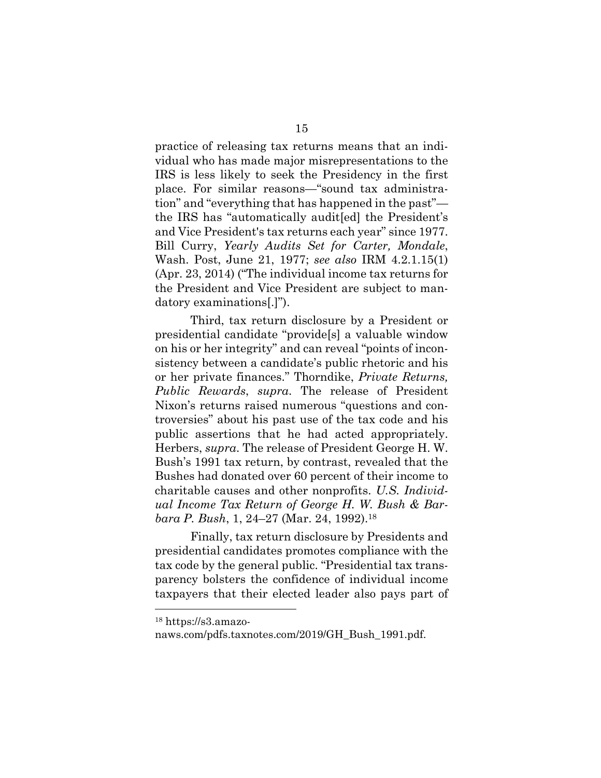practice of releasing tax returns means that an individual who has made major misrepresentations to the IRS is less likely to seek the Presidency in the first place. For similar reasons—"sound tax administration" and "everything that has happened in the past" the IRS has "automatically audit[ed] the President's and Vice President's tax returns each year" since 1977. Bill Curry, *Yearly Audits Set for Carter, Mondale*, Wash. Post, June 21, 1977; *see also* IRM 4.2.1.15(1) (Apr. 23, 2014) ("The individual income tax returns for the President and Vice President are subject to mandatory examinations[.]").

Third, tax return disclosure by a President or presidential candidate "provide[s] a valuable window on his or her integrity" and can reveal "points of inconsistency between a candidate's public rhetoric and his or her private finances." Thorndike, *Private Returns, Public Rewards*, *supra*. The release of President Nixon's returns raised numerous "questions and controversies" about his past use of the tax code and his public assertions that he had acted appropriately. Herbers, *supra*. The release of President George H. W. Bush's 1991 tax return, by contrast, revealed that the Bushes had donated over 60 percent of their income to charitable causes and other nonprofits. *U.S. Individual Income Tax Return of George H. W. Bush & Barbara P. Bush*, 1, 24–27 (Mar. 24, 1992).<sup>18</sup>

Finally, tax return disclosure by Presidents and presidential candidates promotes compliance with the tax code by the general public. "Presidential tax transparency bolsters the confidence of individual income taxpayers that their elected leader also pays part of

<sup>18</sup> https://s3.amazo-

naws.com/pdfs.taxnotes.com/2019/GH\_Bush\_1991.pdf.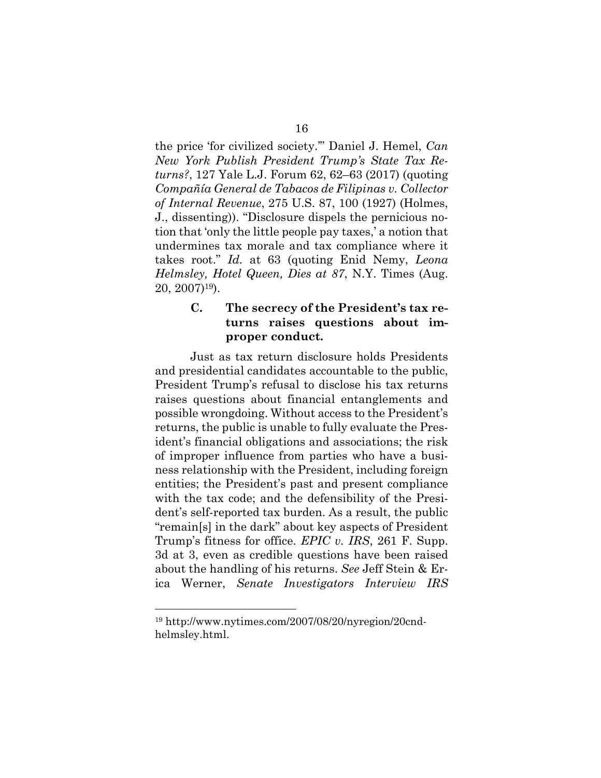the price 'for civilized society.'" Daniel J. Hemel, *Can New York Publish President Trump's State Tax Returns?*, 127 Yale L.J. Forum 62, 62–63 (2017) (quoting *Compañía General de Tabacos de Filipinas v. Collector of Internal Revenue*, 275 U.S. 87, 100 (1927) (Holmes, J., dissenting)). "Disclosure dispels the pernicious notion that 'only the little people pay taxes,' a notion that undermines tax morale and tax compliance where it takes root." *Id.* at 63 (quoting Enid Nemy, *Leona Helmsley, Hotel Queen, Dies at 87*, N.Y. Times (Aug. 20, 2007)19).

#### **C. The secrecy of the President's tax returns raises questions about improper conduct.**

Just as tax return disclosure holds Presidents and presidential candidates accountable to the public, President Trump's refusal to disclose his tax returns raises questions about financial entanglements and possible wrongdoing. Without access to the President's returns, the public is unable to fully evaluate the President's financial obligations and associations; the risk of improper influence from parties who have a business relationship with the President, including foreign entities; the President's past and present compliance with the tax code; and the defensibility of the President's self-reported tax burden. As a result, the public "remain[s] in the dark" about key aspects of President Trump's fitness for office. *EPIC v. IRS*, 261 F. Supp. 3d at 3, even as credible questions have been raised about the handling of his returns. *See* Jeff Stein & Erica Werner, *Senate Investigators Interview IRS*

<sup>19</sup> http://www.nytimes.com/2007/08/20/nyregion/20cndhelmsley.html.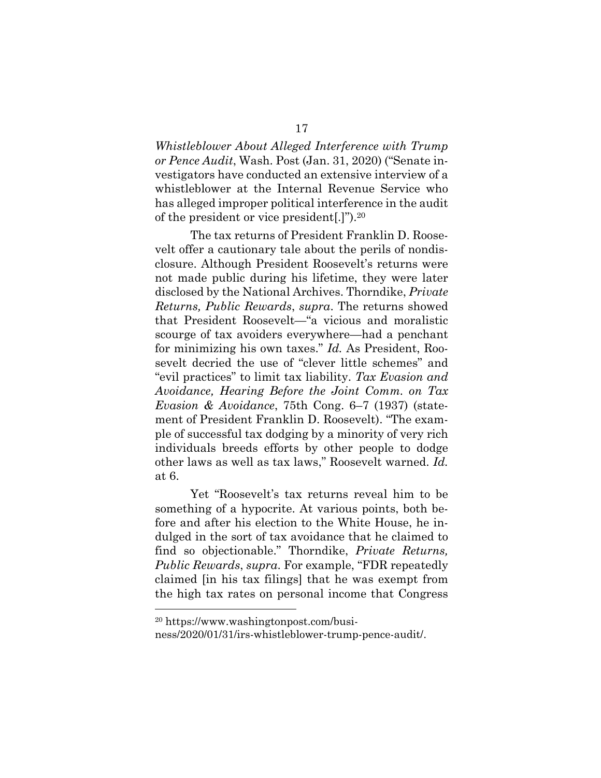*Whistleblower About Alleged Interference with Trump or Pence Audit*, Wash. Post (Jan. 31, 2020) ("Senate investigators have conducted an extensive interview of a whistleblower at the Internal Revenue Service who has alleged improper political interference in the audit of the president or vice president[.]").<sup>20</sup>

The tax returns of President Franklin D. Roosevelt offer a cautionary tale about the perils of nondisclosure. Although President Roosevelt's returns were not made public during his lifetime, they were later disclosed by the National Archives. Thorndike, *Private Returns, Public Rewards*, *supra*. The returns showed that President Roosevelt—"a vicious and moralistic scourge of tax avoiders everywhere—had a penchant for minimizing his own taxes." *Id.* As President, Roosevelt decried the use of "clever little schemes" and "evil practices" to limit tax liability. *Tax Evasion and Avoidance, Hearing Before the Joint Comm. on Tax Evasion & Avoidance*, 75th Cong. 6–7 (1937) (statement of President Franklin D. Roosevelt). "The example of successful tax dodging by a minority of very rich individuals breeds efforts by other people to dodge other laws as well as tax laws," Roosevelt warned. *Id.* at 6.

Yet "Roosevelt's tax returns reveal him to be something of a hypocrite. At various points, both before and after his election to the White House, he indulged in the sort of tax avoidance that he claimed to find so objectionable." Thorndike, *Private Returns, Public Rewards*, *supra*. For example, "FDR repeatedly claimed [in his tax filings] that he was exempt from the high tax rates on personal income that Congress

<sup>20</sup> https://www.washingtonpost.com/busi-

ness/2020/01/31/irs-whistleblower-trump-pence-audit/.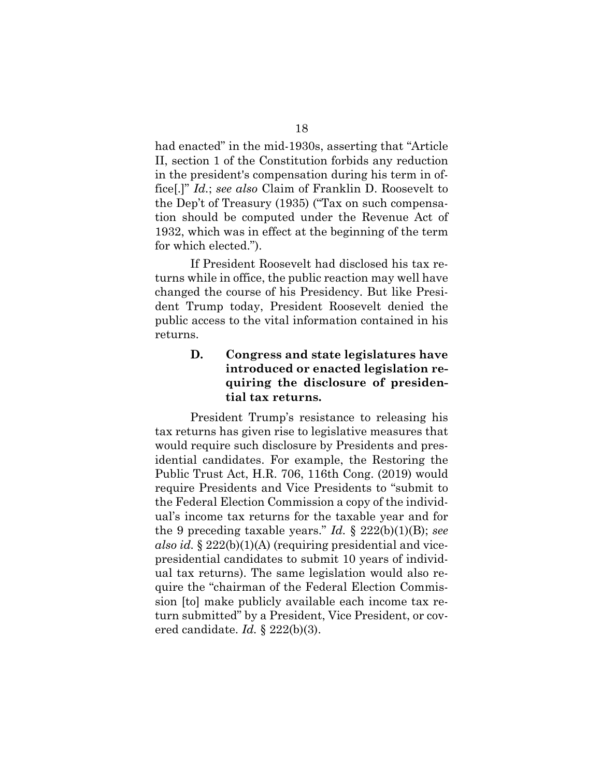had enacted" in the mid-1930s, asserting that "Article II, section 1 of the Constitution forbids any reduction in the president's compensation during his term in office[.]" *Id.*; *see also* Claim of Franklin D. Roosevelt to the Dep't of Treasury (1935) ("Tax on such compensation should be computed under the Revenue Act of 1932, which was in effect at the beginning of the term for which elected.").

If President Roosevelt had disclosed his tax returns while in office, the public reaction may well have changed the course of his Presidency. But like President Trump today, President Roosevelt denied the public access to the vital information contained in his returns.

## **D. Congress and state legislatures have introduced or enacted legislation requiring the disclosure of presidential tax returns.**

President Trump's resistance to releasing his tax returns has given rise to legislative measures that would require such disclosure by Presidents and presidential candidates. For example, the Restoring the Public Trust Act, H.R. 706, 116th Cong. (2019) would require Presidents and Vice Presidents to "submit to the Federal Election Commission a copy of the individual's income tax returns for the taxable year and for the 9 preceding taxable years." *Id.* § 222(b)(1)(B); *see also id.* § 222(b)(1)(A) (requiring presidential and vicepresidential candidates to submit 10 years of individual tax returns). The same legislation would also require the "chairman of the Federal Election Commission [to] make publicly available each income tax return submitted" by a President, Vice President, or covered candidate. *Id.* § 222(b)(3).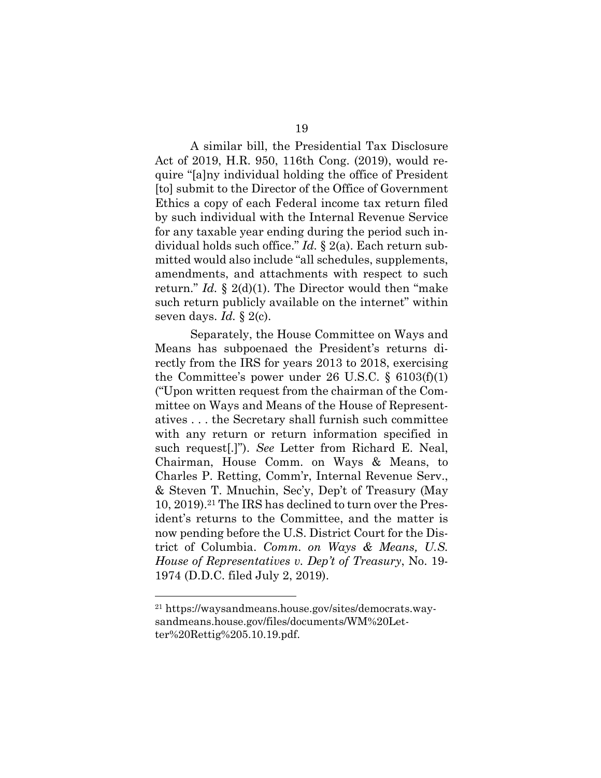A similar bill, the Presidential Tax Disclosure Act of 2019, H.R. 950, 116th Cong. (2019), would require "[a]ny individual holding the office of President [to] submit to the Director of the Office of Government Ethics a copy of each Federal income tax return filed by such individual with the Internal Revenue Service for any taxable year ending during the period such individual holds such office." *Id.* § 2(a). Each return submitted would also include "all schedules, supplements, amendments, and attachments with respect to such return." *Id.* § 2(d)(1). The Director would then "make such return publicly available on the internet" within seven days. *Id.* § 2(c).

Separately, the House Committee on Ways and Means has subpoenaed the President's returns directly from the IRS for years 2013 to 2018, exercising the Committee's power under 26 U.S.C. § 6103(f)(1) ("Upon written request from the chairman of the Committee on Ways and Means of the House of Representatives . . . the Secretary shall furnish such committee with any return or return information specified in such request[.]"). *See* Letter from Richard E. Neal, Chairman, House Comm. on Ways & Means, to Charles P. Retting, Comm'r, Internal Revenue Serv., & Steven T. Mnuchin, Sec'y, Dep't of Treasury (May 10, 2019).<sup>21</sup> The IRS has declined to turn over the President's returns to the Committee, and the matter is now pending before the U.S. District Court for the District of Columbia. *Comm. on Ways & Means, U.S. House of Representatives v. Dep't of Treasury*, No. 19- 1974 (D.D.C. filed July 2, 2019).

<sup>21</sup> https://waysandmeans.house.gov/sites/democrats.waysandmeans.house.gov/files/documents/WM%20Letter%20Rettig%205.10.19.pdf.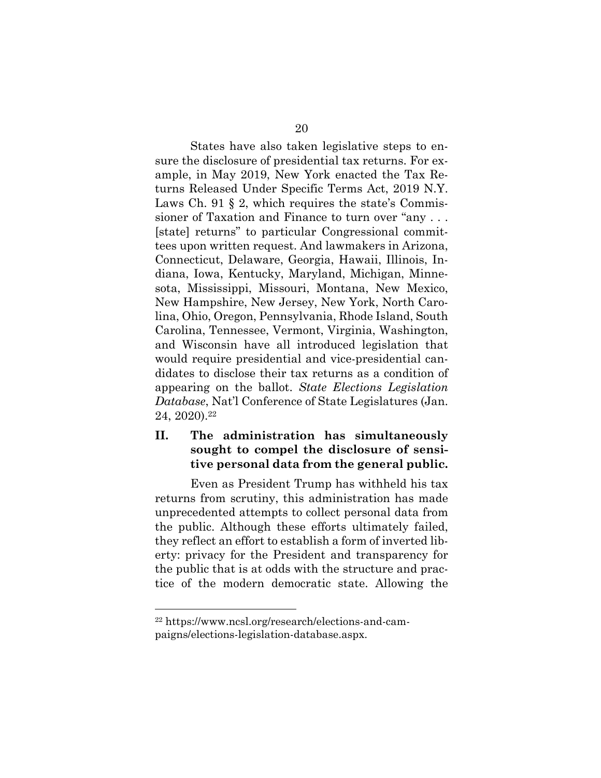States have also taken legislative steps to ensure the disclosure of presidential tax returns. For example, in May 2019, New York enacted the Tax Returns Released Under Specific Terms Act, 2019 N.Y. Laws Ch. 91 § 2, which requires the state's Commissioner of Taxation and Finance to turn over "any . . . [state] returns" to particular Congressional committees upon written request. And lawmakers in Arizona, Connecticut, Delaware, Georgia, Hawaii, Illinois, Indiana, Iowa, Kentucky, Maryland, Michigan, Minnesota, Mississippi, Missouri, Montana, New Mexico, New Hampshire, New Jersey, New York, North Carolina, Ohio, Oregon, Pennsylvania, Rhode Island, South Carolina, Tennessee, Vermont, Virginia, Washington, and Wisconsin have all introduced legislation that would require presidential and vice-presidential candidates to disclose their tax returns as a condition of appearing on the ballot. *State Elections Legislation Database*, Nat'l Conference of State Legislatures (Jan. 24, 2020).<sup>22</sup>

#### **II. The administration has simultaneously sought to compel the disclosure of sensitive personal data from the general public.**

Even as President Trump has withheld his tax returns from scrutiny, this administration has made unprecedented attempts to collect personal data from the public. Although these efforts ultimately failed, they reflect an effort to establish a form of inverted liberty: privacy for the President and transparency for the public that is at odds with the structure and practice of the modern democratic state. Allowing the

<sup>22</sup> https://www.ncsl.org/research/elections-and-campaigns/elections-legislation-database.aspx.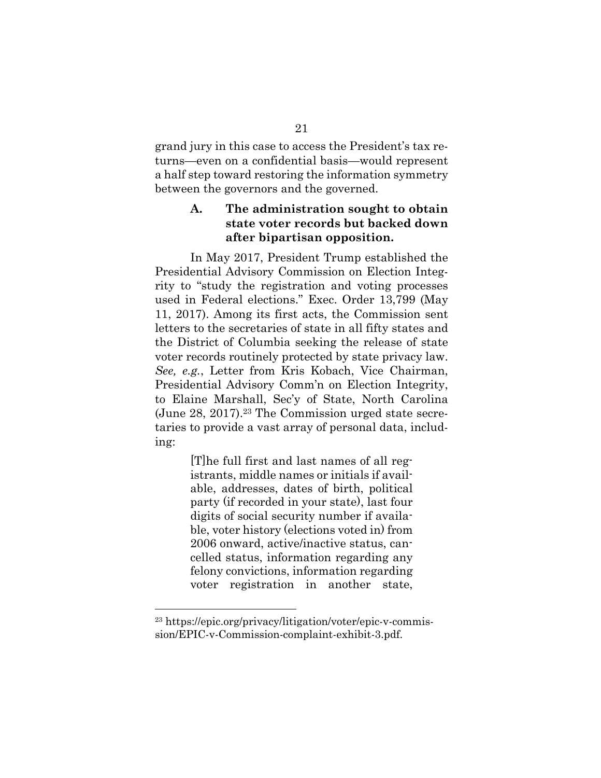grand jury in this case to access the President's tax returns—even on a confidential basis—would represent a half step toward restoring the information symmetry between the governors and the governed.

## **A. The administration sought to obtain state voter records but backed down after bipartisan opposition.**

In May 2017, President Trump established the Presidential Advisory Commission on Election Integrity to "study the registration and voting processes used in Federal elections." Exec. Order 13,799 (May 11, 2017). Among its first acts, the Commission sent letters to the secretaries of state in all fifty states and the District of Columbia seeking the release of state voter records routinely protected by state privacy law. *See, e.g.*, Letter from Kris Kobach, Vice Chairman, Presidential Advisory Comm'n on Election Integrity, to Elaine Marshall, Sec'y of State, North Carolina (June 28, 2017).<sup>23</sup> The Commission urged state secretaries to provide a vast array of personal data, including:

> [T]he full first and last names of all registrants, middle names or initials if available, addresses, dates of birth, political party (if recorded in your state), last four digits of social security number if available, voter history (elections voted in) from 2006 onward, active/inactive status, cancelled status, information regarding any felony convictions, information regarding voter registration in another state,

<sup>23</sup> https://epic.org/privacy/litigation/voter/epic-v-commission/EPIC-v-Commission-complaint-exhibit-3.pdf.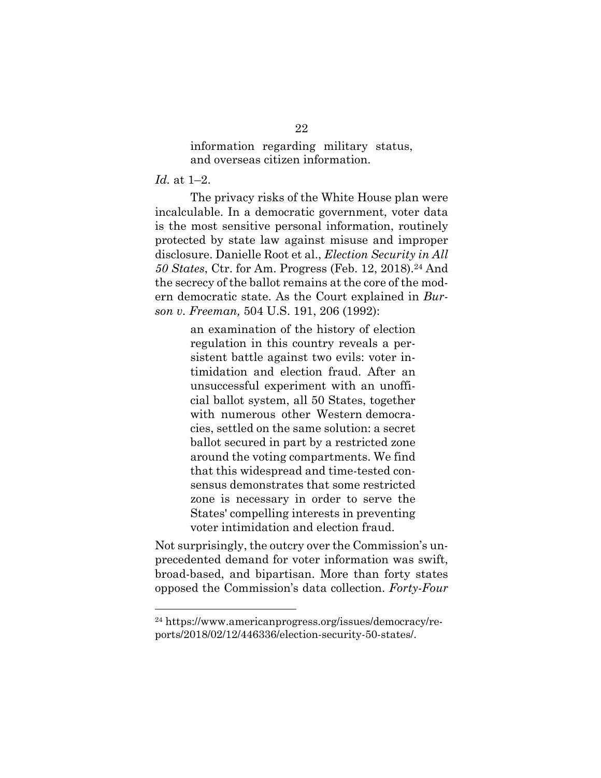information regarding military status, and overseas citizen information.

#### *Id.* at 1–2.

The privacy risks of the White House plan were incalculable. In a democratic government, voter data is the most sensitive personal information, routinely protected by state law against misuse and improper disclosure. Danielle Root et al., *Election Security in All* 50 States, Ctr. for Am. Progress (Feb. 12, 2018).<sup>24</sup> And the secrecy of the ballot remains at the core of the modern democratic state. As the Court explained in *Burson v. Freeman,* 504 U.S. 191, 206 (1992):

> an examination of the history of election regulation in this country reveals a persistent battle against two evils: voter intimidation and election fraud. After an unsuccessful experiment with an unofficial ballot system, all 50 States, together with numerous other Western democracies, settled on the same solution: a secret ballot secured in part by a restricted zone around the voting compartments. We find that this widespread and time-tested consensus demonstrates that some restricted zone is necessary in order to serve the States' compelling interests in preventing voter intimidation and election fraud.

Not surprisingly, the outcry over the Commission's unprecedented demand for voter information was swift, broad-based, and bipartisan. More than forty states opposed the Commission's data collection. *Forty-Four* 

<sup>24</sup> https://www.americanprogress.org/issues/democracy/reports/2018/02/12/446336/election-security-50-states/.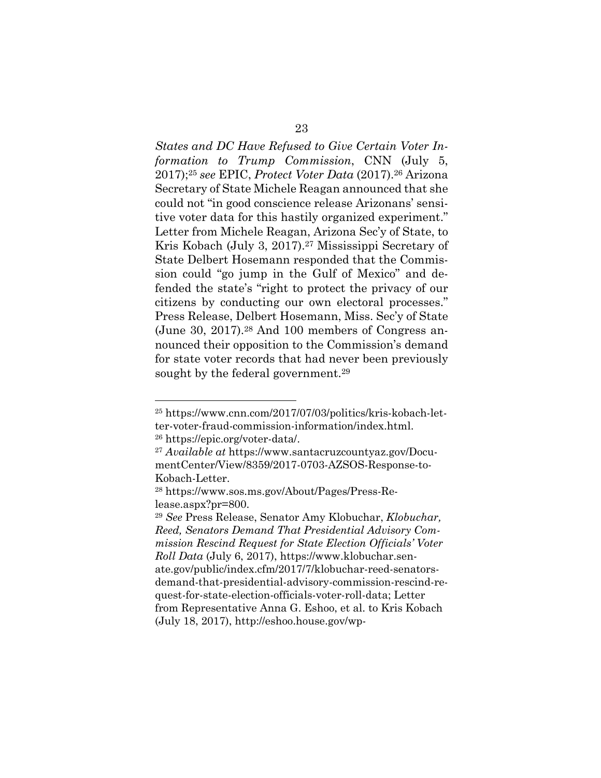*States and DC Have Refused to Give Certain Voter Information to Trump Commission*, CNN (July 5, 2017);<sup>25</sup> *see* EPIC, *Protect Voter Data* (2017).26 Arizona Secretary of State Michele Reagan announced that she could not "in good conscience release Arizonans' sensitive voter data for this hastily organized experiment." Letter from Michele Reagan, Arizona Sec'y of State, to Kris Kobach (July 3, 2017).<sup>27</sup> Mississippi Secretary of State Delbert Hosemann responded that the Commission could "go jump in the Gulf of Mexico" and defended the state's "right to protect the privacy of our citizens by conducting our own electoral processes." Press Release, Delbert Hosemann, Miss. Sec'y of State (June 30, 2017).<sup>28</sup> And 100 members of Congress announced their opposition to the Commission's demand for state voter records that had never been previously sought by the federal government.<sup>29</sup>

<sup>25</sup> https://www.cnn.com/2017/07/03/politics/kris-kobach-letter-voter-fraud-commission-information/index.html.

<sup>26</sup> https://epic.org/voter-data/.

<sup>27</sup> *Available at* https://www.santacruzcountyaz.gov/DocumentCenter/View/8359/2017-0703-AZSOS-Response-to-Kobach-Letter.

<sup>28</sup> https://www.sos.ms.gov/About/Pages/Press-Release.aspx?pr=800.

<sup>29</sup> *See* Press Release, Senator Amy Klobuchar, *Klobuchar, Reed, Senators Demand That Presidential Advisory Commission Rescind Request for State Election Officials' Voter Roll Data* (July 6, 2017), https://www.klobuchar.senate.gov/public/index.cfm/2017/7/klobuchar-reed-senatorsdemand-that-presidential-advisory-commission-rescind-request-for-state-election-officials-voter-roll-data; Letter from Representative Anna G. Eshoo, et al. to Kris Kobach (July 18, 2017), http://eshoo.house.gov/wp-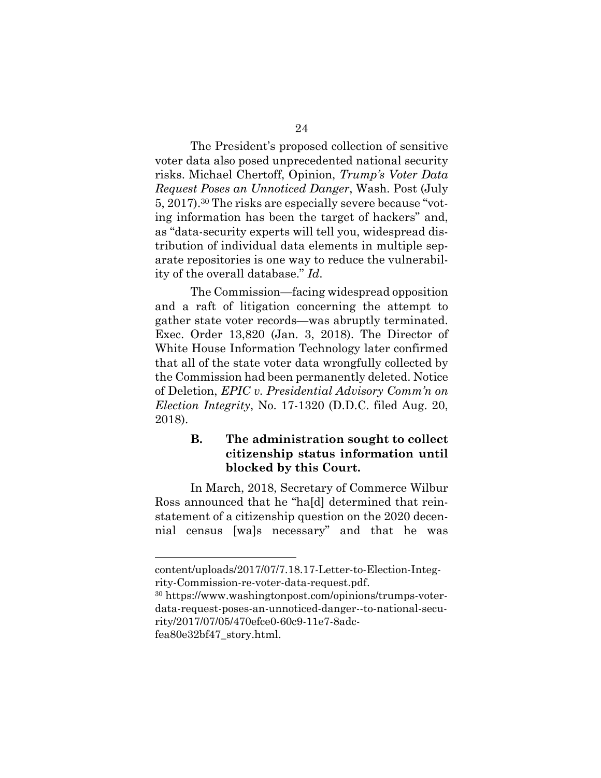The President's proposed collection of sensitive voter data also posed unprecedented national security risks. Michael Chertoff, Opinion, *Trump's Voter Data Request Poses an Unnoticed Danger*, Wash. Post (July 5, 2017).<sup>30</sup> The risks are especially severe because "voting information has been the target of hackers" and, as "data-security experts will tell you, widespread distribution of individual data elements in multiple separate repositories is one way to reduce the vulnerability of the overall database." *Id*.

The Commission—facing widespread opposition and a raft of litigation concerning the attempt to gather state voter records—was abruptly terminated. Exec. Order 13,820 (Jan. 3, 2018). The Director of White House Information Technology later confirmed that all of the state voter data wrongfully collected by the Commission had been permanently deleted. Notice of Deletion, *EPIC v. Presidential Advisory Comm'n on Election Integrity*, No. 17-1320 (D.D.C. filed Aug. 20, 2018).

### **B. The administration sought to collect citizenship status information until blocked by this Court.**

In March, 2018, Secretary of Commerce Wilbur Ross announced that he "ha[d] determined that reinstatement of a citizenship question on the 2020 decennial census [wa]s necessary" and that he was

content/uploads/2017/07/7.18.17-Letter-to-Election-Integrity-Commission-re-voter-data-request.pdf.

<sup>30</sup> https://www.washingtonpost.com/opinions/trumps-voterdata-request-poses-an-unnoticed-danger--to-national-security/2017/07/05/470efce0-60c9-11e7-8adcfea80e32bf47\_story.html.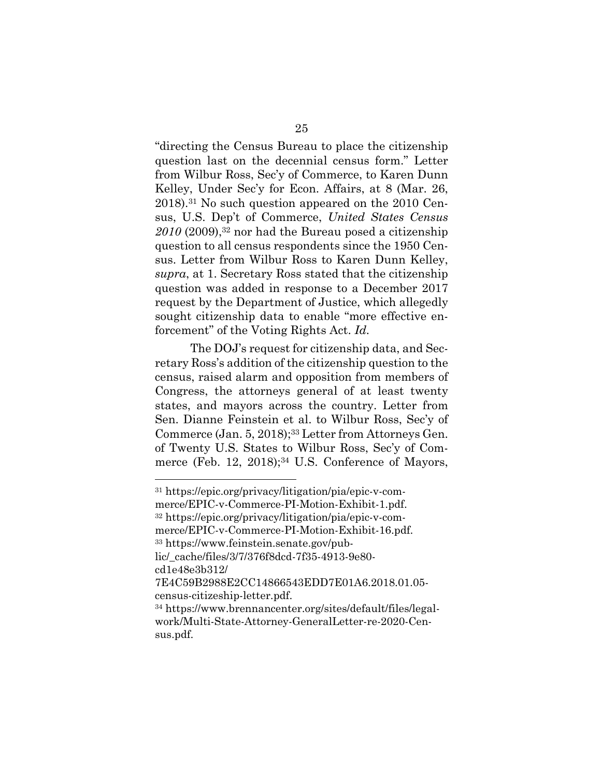"directing the Census Bureau to place the citizenship question last on the decennial census form." Letter from Wilbur Ross, Sec'y of Commerce, to Karen Dunn Kelley, Under Sec'y for Econ. Affairs, at 8 (Mar. 26, 2018).<sup>31</sup> No such question appeared on the 2010 Census, U.S. Dep't of Commerce, *United States Census*  2010 (2009),<sup>32</sup> nor had the Bureau posed a citizenship question to all census respondents since the 1950 Census. Letter from Wilbur Ross to Karen Dunn Kelley, *supra*, at 1. Secretary Ross stated that the citizenship question was added in response to a December 2017 request by the Department of Justice, which allegedly sought citizenship data to enable "more effective enforcement" of the Voting Rights Act. *Id.*

The DOJ's request for citizenship data, and Secretary Ross's addition of the citizenship question to the census, raised alarm and opposition from members of Congress, the attorneys general of at least twenty states, and mayors across the country. Letter from Sen. Dianne Feinstein et al. to Wilbur Ross, Sec'y of Commerce (Jan. 5, 2018);<sup>33</sup> Letter from Attorneys Gen. of Twenty U.S. States to Wilbur Ross, Sec'y of Commerce (Feb. 12, 2018);<sup>34</sup> U.S. Conference of Mayors,

<sup>31</sup> https://epic.org/privacy/litigation/pia/epic-v-commerce/EPIC-v-Commerce-PI-Motion-Exhibit-1.pdf. <sup>32</sup> https://epic.org/privacy/litigation/pia/epic-v-commerce/EPIC-v-Commerce-PI-Motion-Exhibit-16.pdf. <sup>33</sup> https://www.feinstein.senate.gov/public/\_cache/files/3/7/376f8dcd-7f35-4913-9e80 cd1e48e3b312/ 7E4C59B2988E2CC14866543EDD7E01A6.2018.01.05 census-citizeship-letter.pdf. <sup>34</sup> https://www.brennancenter.org/sites/default/files/legalwork/Multi-State-Attorney-GeneralLetter-re-2020-Cen-

sus.pdf.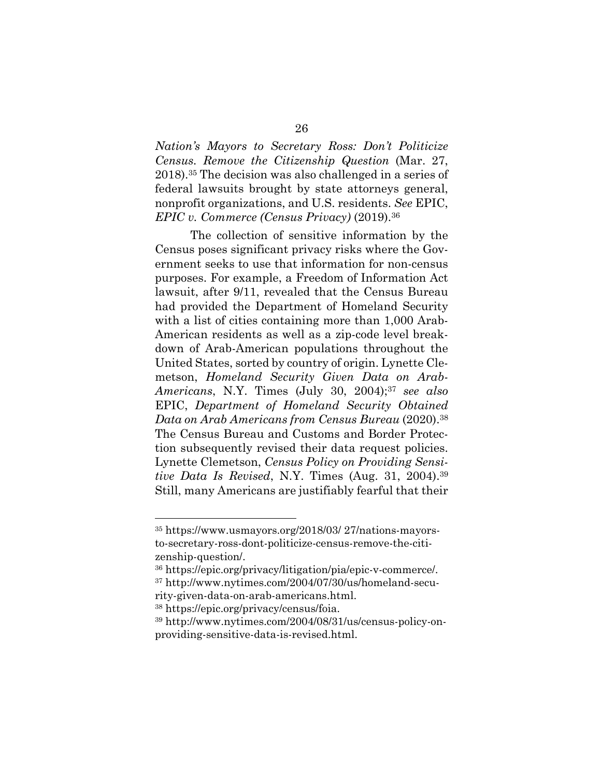*Nation's Mayors to Secretary Ross: Don't Politicize Census. Remove the Citizenship Question* (Mar. 27, 2018).<sup>35</sup> The decision was also challenged in a series of federal lawsuits brought by state attorneys general, nonprofit organizations, and U.S. residents. *See* EPIC, *EPIC v. Commerce (Census Privacy)* (2019).<sup>36</sup>

The collection of sensitive information by the Census poses significant privacy risks where the Government seeks to use that information for non-census purposes. For example, a Freedom of Information Act lawsuit, after 9/11, revealed that the Census Bureau had provided the Department of Homeland Security with a list of cities containing more than 1,000 Arab-American residents as well as a zip-code level breakdown of Arab-American populations throughout the United States, sorted by country of origin. Lynette Clemetson, *Homeland Security Given Data on Arab-Americans*, N.Y. Times (July 30, 2004);37 *see also* EPIC, *Department of Homeland Security Obtained Data on Arab Americans from Census Bureau* (2020).38 The Census Bureau and Customs and Border Protection subsequently revised their data request policies. Lynette Clemetson, *Census Policy on Providing Sensitive Data Is Revised*, N.Y. Times (Aug. 31, 2004).39 Still, many Americans are justifiably fearful that their

<sup>35</sup> https://www.usmayors.org/2018/03/ 27/nations-mayorsto-secretary-ross-dont-politicize-census-remove-the-citizenship-question/.

<sup>36</sup> https://epic.org/privacy/litigation/pia/epic-v-commerce/. <sup>37</sup> http://www.nytimes.com/2004/07/30/us/homeland-secu-

rity-given-data-on-arab-americans.html. 38 https://epic.org/privacy/census/foia. 39 http://www.nytimes.com/2004/08/31/us/census-policy-onproviding-sensitive-data-is-revised.html.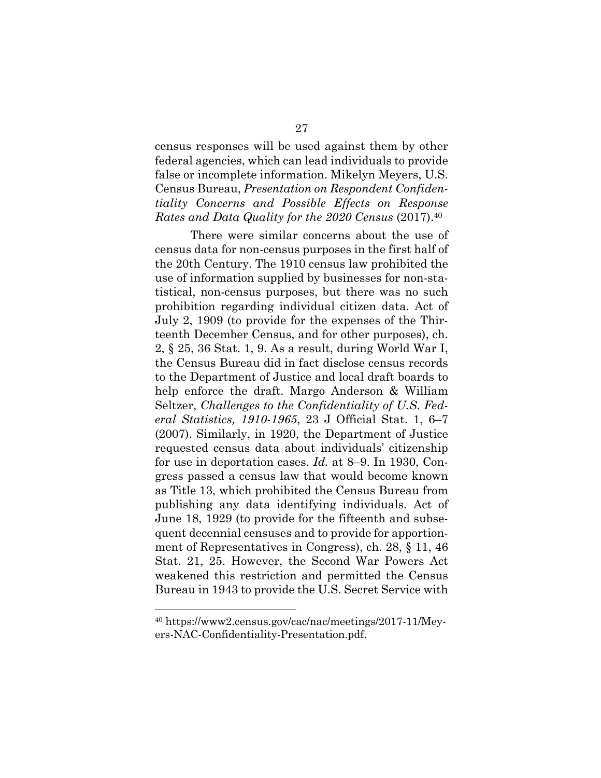census responses will be used against them by other federal agencies, which can lead individuals to provide false or incomplete information. Mikelyn Meyers, U.S. Census Bureau, *Presentation on Respondent Confidentiality Concerns and Possible Effects on Response Rates and Data Quality for the 2020 Census* (2017).40

There were similar concerns about the use of census data for non-census purposes in the first half of the 20th Century. The 1910 census law prohibited the use of information supplied by businesses for non-statistical, non-census purposes, but there was no such prohibition regarding individual citizen data. Act of July 2, 1909 (to provide for the expenses of the Thirteenth December Census, and for other purposes), ch. 2, § 25, 36 Stat. 1, 9. As a result, during World War I, the Census Bureau did in fact disclose census records to the Department of Justice and local draft boards to help enforce the draft. Margo Anderson & William Seltzer, *Challenges to the Confidentiality of U.S. Federal Statistics, 1910-1965*, 23 J Official Stat. 1, 6–7 (2007). Similarly, in 1920, the Department of Justice requested census data about individuals' citizenship for use in deportation cases. *Id.* at 8–9. In 1930, Congress passed a census law that would become known as Title 13, which prohibited the Census Bureau from publishing any data identifying individuals. Act of June 18, 1929 (to provide for the fifteenth and subsequent decennial censuses and to provide for apportionment of Representatives in Congress), ch. 28, § 11, 46 Stat. 21, 25. However, the Second War Powers Act weakened this restriction and permitted the Census Bureau in 1943 to provide the U.S. Secret Service with

<sup>40</sup> https://www2.census.gov/cac/nac/meetings/2017-11/Meyers-NAC-Confidentiality-Presentation.pdf.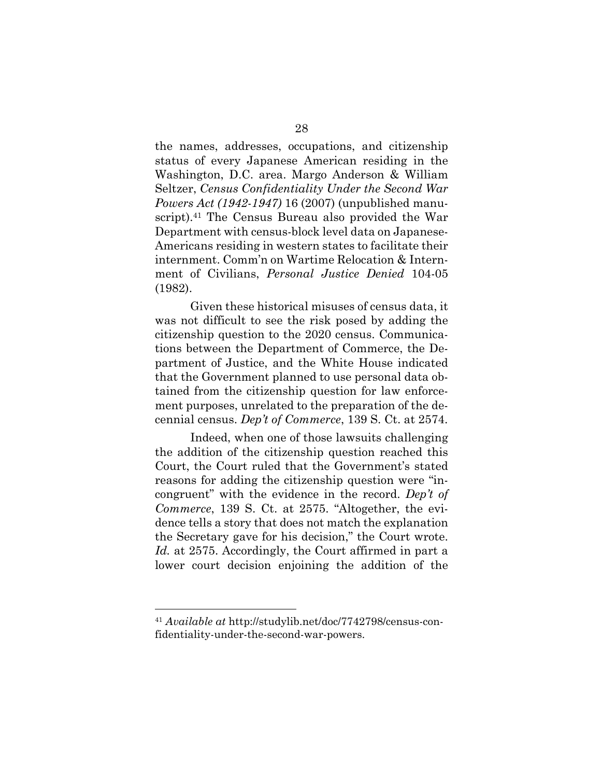the names, addresses, occupations, and citizenship status of every Japanese American residing in the Washington, D.C. area. Margo Anderson & William Seltzer, *Census Confidentiality Under the Second War Powers Act (1942-1947)* 16 (2007) (unpublished manuscript).<sup>41</sup> The Census Bureau also provided the War Department with census-block level data on Japanese-Americans residing in western states to facilitate their internment. Comm'n on Wartime Relocation & Internment of Civilians, *Personal Justice Denied* 104-05 (1982).

Given these historical misuses of census data, it was not difficult to see the risk posed by adding the citizenship question to the 2020 census. Communications between the Department of Commerce, the Department of Justice, and the White House indicated that the Government planned to use personal data obtained from the citizenship question for law enforcement purposes, unrelated to the preparation of the decennial census. *Dep't of Commerce*, 139 S. Ct. at 2574.

Indeed, when one of those lawsuits challenging the addition of the citizenship question reached this Court, the Court ruled that the Government's stated reasons for adding the citizenship question were "incongruent" with the evidence in the record. *Dep't of Commerce*, 139 S. Ct. at 2575. "Altogether, the evidence tells a story that does not match the explanation the Secretary gave for his decision," the Court wrote. *Id.* at 2575. Accordingly, the Court affirmed in part a lower court decision enjoining the addition of the

<sup>41</sup> *Available at* http://studylib.net/doc/7742798/census-confidentiality-under-the-second-war-powers.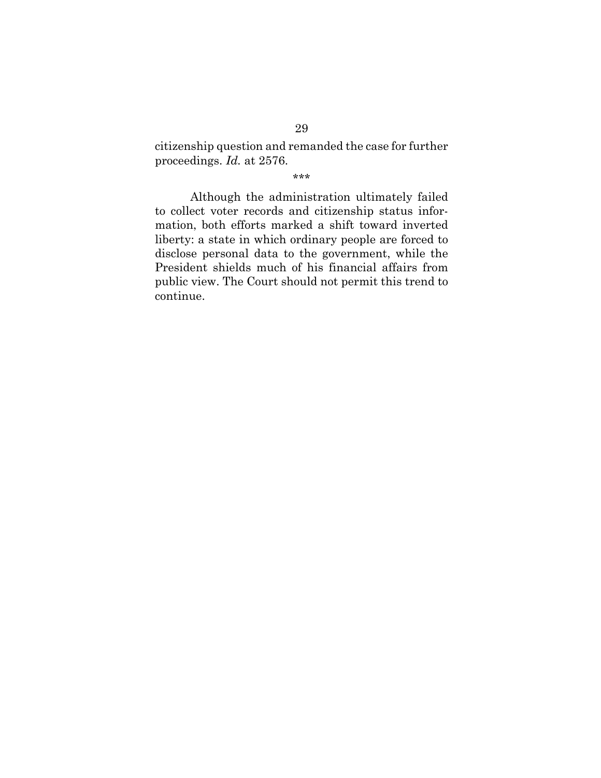citizenship question and remanded the case for further proceedings. *Id.* at 2576.

\*\*\*

Although the administration ultimately failed to collect voter records and citizenship status information, both efforts marked a shift toward inverted liberty: a state in which ordinary people are forced to disclose personal data to the government, while the President shields much of his financial affairs from public view. The Court should not permit this trend to continue.